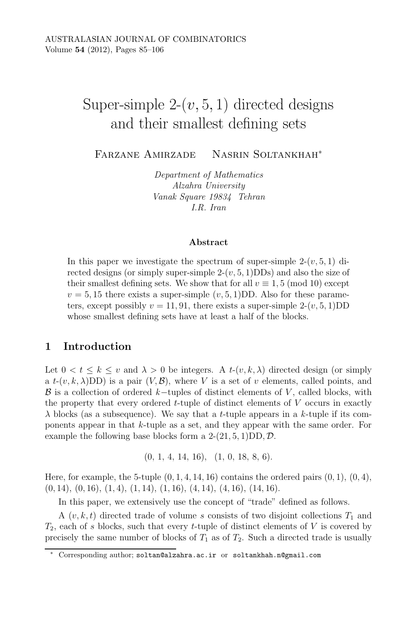# Super-simple  $2-(v, 5, 1)$  directed designs and their smallest defining sets

FARZANE AMIRZADE NASRIN SOLTANKHAH<sup>\*</sup>

*Department of Mathematics Alzahra University Vanak Square 19834 Tehran I.R. Iran*

#### **Abstract**

In this paper we investigate the spectrum of super-simple  $2-(v, 5, 1)$  directed designs (or simply super-simple  $2-(v, 5, 1)$ DDs) and also the size of their smallest defining sets. We show that for all  $v \equiv 1, 5 \pmod{10}$  except  $v = 5, 15$  there exists a super-simple  $(v, 5, 1)$ DD. Also for these parameters, except possibly  $v = 11, 91$ , there exists a super-simple 2- $(v, 5, 1)$ DD whose smallest defining sets have at least a half of the blocks.

### **1 Introduction**

Let  $0 < t \leq k \leq v$  and  $\lambda > 0$  be integers. A  $t-(v, k, \lambda)$  directed design (or simply a  $t-(v, k, \lambda)$ DD) is a pair  $(V, \mathcal{B})$ , where V is a set of v elements, called points, and B is a collection of ordered k–tuples of distinct elements of V, called blocks, with the property that every ordered  $t$ -tuple of distinct elements of  $V$  occurs in exactly  $\lambda$  blocks (as a subsequence). We say that a *t*-tuple appears in a *k*-tuple if its components appear in that k-tuple as a set, and they appear with the same order. For example the following base blocks form a 2- $(21, 5, 1)$ DD, D.

$$
(0, 1, 4, 14, 16), (1, 0, 18, 8, 6).
$$

Here, for example, the 5-tuple  $(0, 1, 4, 14, 16)$  contains the ordered pairs  $(0, 1), (0, 4)$ ,  $(0, 14)$ ,  $(0, 16)$ ,  $(1, 4)$ ,  $(1, 14)$ ,  $(1, 16)$ ,  $(4, 14)$ ,  $(4, 16)$ ,  $(14, 16)$ .

In this paper, we extensively use the concept of "trade" defined as follows.

A  $(v, k, t)$  directed trade of volume s consists of two disjoint collections  $T_1$  and  $T_2$ , each of s blocks, such that every t-tuple of distinct elements of V is covered by precisely the same number of blocks of  $T_1$  as of  $T_2$ . Such a directed trade is usually

<sup>∗</sup> Corresponding author; soltan@alzahra.ac.ir or soltankhah.n@gmail.com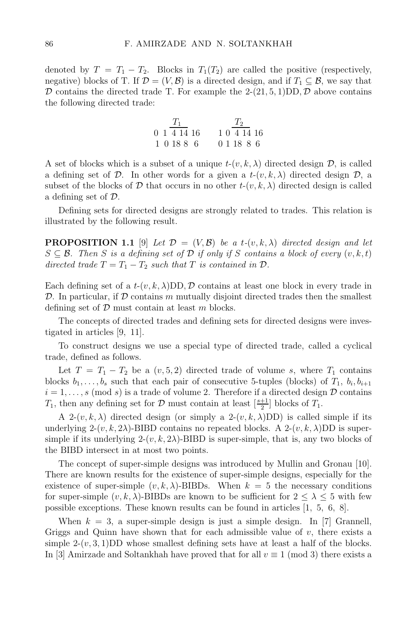denoted by  $T = T_1 - T_2$ . Blocks in  $T_1(T_2)$  are called the positive (respectively, negative) blocks of T. If  $\mathcal{D} = (V, \mathcal{B})$  is a directed design, and if  $T_1 \subseteq \mathcal{B}$ , we say that  $D$  contains the directed trade T. For example the 2-(21, 5, 1)DD,  $D$  above contains the following directed trade:

|  | $T_1$       |             | $T_2$ |  |
|--|-------------|-------------|-------|--|
|  | 0 1 4 14 16 | 1 0 4 14 16 |       |  |
|  | 1 0 18 8 6  | 011886      |       |  |

A set of blocks which is a subset of a unique  $t-(v, k, \lambda)$  directed design  $\mathcal{D}$ , is called a defining set of  $\mathcal{D}$ . In other words for a given a  $t-(v, k, \lambda)$  directed design  $\mathcal{D}$ , a subset of the blocks of D that occurs in no other  $t-(v, k, \lambda)$  directed design is called a defining set of D.

Defining sets for directed designs are strongly related to trades. This relation is illustrated by the following result.

**PROPOSITION 1.1** [9] *Let*  $\mathcal{D} = (V, \mathcal{B})$  *be a*  $t$ - $(v, k, \lambda)$  *directed design and let*  $S \subseteq \mathcal{B}$ . Then S is a defining set of D if only if S contains a block of every  $(v, k, t)$ *directed trade*  $T = T_1 - T_2$  *such that*  $T$  *is contained in*  $D$ *.* 

Each defining set of a  $t-(v, k, \lambda)$ DD,  $\mathcal D$  contains at least one block in every trade in  $\mathcal D$ . In particular, if  $\mathcal D$  contains m mutually disjoint directed trades then the smallest defining set of  $D$  must contain at least  $m$  blocks.

The concepts of directed trades and defining sets for directed designs were investigated in articles [9, 11].

To construct designs we use a special type of directed trade, called a cyclical trade, defined as follows.

Let  $T = T_1 - T_2$  be a  $(v, 5, 2)$  directed trade of volume s, where  $T_1$  contains blocks  $b_1, \ldots, b_s$  such that each pair of consecutive 5-tuples (blocks) of  $T_1, b_i, b_{i+1}$  $i = 1, \ldots, s \pmod{s}$  is a trade of volume 2. Therefore if a directed design  $D$  contains  $T_1$ , then any defining set for  $\mathcal{D}$  must contain at least  $\left[\frac{s+1}{2}\right]$  blocks of  $T_1$ .

A 2- $(v, k, \lambda)$  directed design (or simply a 2- $(v, k, \lambda)$ DD) is called simple if its underlying  $2-(v, k, 2\lambda)$ -BIBD contains no repeated blocks. A  $2-(v, k, \lambda)$ DD is supersimple if its underlying  $2-(v, k, 2\lambda)$ -BIBD is super-simple, that is, any two blocks of the BIBD intersect in at most two points.

The concept of super-simple designs was introduced by Mullin and Gronau [10]. There are known results for the existence of super-simple designs, especially for the existence of super-simple  $(v, k, \lambda)$ -BIBDs. When  $k = 5$  the necessary conditions for super-simple  $(v, k, \lambda)$ -BIBDs are known to be sufficient for  $2 \leq \lambda \leq 5$  with few possible exceptions. These known results can be found in articles [1, <sup>5</sup>, <sup>6</sup>, 8].

When  $k = 3$ , a super-simple design is just a simple design. In [7] Grannell, Griggs and Quinn have shown that for each admissible value of  $v$ , there exists a simple  $2-(v, 3, 1)$ DD whose smallest defining sets have at least a half of the blocks. In [3] Amirzade and Soltankhah have proved that for all  $v \equiv 1 \pmod{3}$  there exists a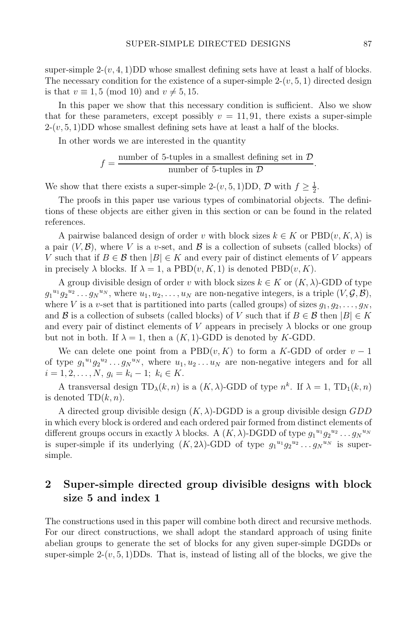super-simple  $2-(v, 4, 1)$ DD whose smallest defining sets have at least a half of blocks. The necessary condition for the existence of a super-simple  $2-(v, 5, 1)$  directed design is that  $v \equiv 1, 5 \pmod{10}$  and  $v \neq 5, 15$ .

In this paper we show that this necessary condition is sufficient. Also we show that for these parameters, except possibly  $v = 11, 91$ , there exists a super-simple  $2-(v, 5, 1)$ DD whose smallest defining sets have at least a half of the blocks.

In other words we are interested in the quantity

$$
f = \frac{\text{number of 5-tuples in a smallest defining set in } \mathcal{D}}{\text{number of 5-tuples in } \mathcal{D}}.
$$

We show that there exists a super-simple 2- $(v, 5, 1)$ DD,  $\mathcal{D}$  with  $f \geq \frac{1}{2}$ .

The proofs in this paper use various types of combinatorial objects. The definitions of these objects are either given in this section or can be found in the related references.

A pairwise balanced design of order v with block sizes  $k \in K$  or  $PBD(v, K, \lambda)$  is a pair  $(V, \mathcal{B})$ , where V is a v-set, and  $\mathcal{B}$  is a collection of subsets (called blocks) of V such that if  $B \in \mathcal{B}$  then  $|B| \in K$  and every pair of distinct elements of V appears in precisely  $\lambda$  blocks. If  $\lambda = 1$ , a PBD $(v, K, 1)$  is denoted PBD $(v, K)$ .

A group divisible design of order v with block sizes  $k \in K$  or  $(K, \lambda)$ -GDD of type  $g_1 \cdot g_2 \cdot \ldots g_N \cdot \ldots$ , where  $u_1, u_2, \ldots, u_N$  are non-negative integers, is a triple  $(v, g, b)$ ,<br>where V is a v-set that is partitioned into parts (called groups) of sizes  $g_1, g_2, \ldots, g_N$ ,<br>and  $\mathcal{B}$  is a collection of  $u_1 g_2^{u_2} \dots g_N^{u_N}$ , where  $u_1, u_2, \dots, u_N$  are non-negative integers, is a triple  $(V, \mathcal{G}, \mathcal{B})$ ,<br>here V is a u-set that is partitioned into parts (called groups) of sizes a,  $g_1$ and B is a collection of subsets (called blocks) of V such that if  $B \in \mathcal{B}$  then  $|B| \in K$ and every pair of distinct elements of V appears in precisely  $\lambda$  blocks or one group but not in both. If  $\lambda = 1$ , then a  $(K, 1)$ -GDD is denoted by K-GDD.

We can delete one point from a  $PBD(v, K)$  to form a K-GDD of order  $v - 1$ of type  $g_1^{u_1}g_2^{u_2} \dots g_N^{u_N}$ , where  $u_1, u_2 \dots u_N$  are non-negative integers and for all  $i-1, 2, ..., N, a, -k, -1, k, \in K$  $i = 1, 2, \ldots, N, g_i = k_i - 1; k_i \in K.$ 

A transversal design  $TD_{\lambda}(k, n)$  is a  $(K, \lambda)$ -GDD of type  $n^k$ . If  $\lambda = 1$ ,  $TD_1(k, n)$ is denoted  $TD(k, n)$ .

A directed group divisible design  $(K, \lambda)$ -DGDD is a group divisible design GDD in which every block is ordered and each ordered pair formed from distinct elements of different groups occurs in exactly  $\lambda$  blocks. A  $(K, \lambda)$ -DGDD of type  $g_1^{u_1} g_2^{u_2} \dots g_N^{u_N}$ <br>is super-simple if its underlying  $(K, 2\lambda)$ -GDD of type  $g_1^{u_1} g_2^{u_2} \dots g_N^{u_N}$  is superdifferent groups occurs in exactly  $\lambda$  blocks. A  $(A, \lambda)$ -DGDD of type  $g_1^{u_1}g_2^{u_2} \dots g_N^{u_N}$  is super-<br>is super-simple if its underlying  $(K, 2\lambda)$ -GDD of type  $g_1^{u_1}g_2^{u_2} \dots g_N^{u_N}$  is super-<br>simple simple.

# **2 Super-simple directed group divisible designs with block size 5 and index 1**

The constructions used in this paper will combine both direct and recursive methods. For our direct constructions, we shall adopt the standard approach of using finite abelian groups to generate the set of blocks for any given super-simple DGDDs or super-simple  $2-(v, 5, 1)$ DDs. That is, instead of listing all of the blocks, we give the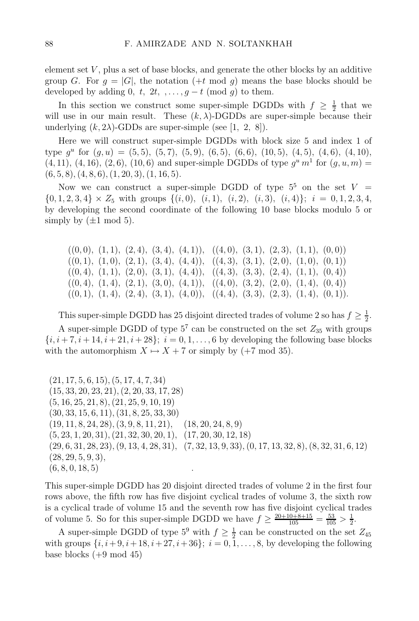element set  $V$ , plus a set of base blocks, and generate the other blocks by an additive group G. For  $g = |G|$ , the notation  $(+t \mod g)$  means the base blocks should be developed by adding 0, t,  $2t$ , , ...,  $g - t$  (mod g) to them.

In this section we construct some super-simple DGDDs with  $f \geq \frac{1}{2}$  that we use in our main result. These  $(k, \lambda)$ -DGDDs are super-simple because their will use in our main result. These  $(k, \lambda)$ -DGDDs are super-simple because their underlying  $(k, 2\lambda)$ -GDDs are super-simple (see [1, 2, 8]).

Here we will construct super-simple DGDDs with block size 5 and index 1 of type  $q^u$  for  $(q, u) = (5, 5), (5, 7), (5, 9), (6, 5), (6, 6), (10, 5), (4, 5), (4, 6), (4, 10),$  $(4, 11), (4, 16), (2, 6), (10, 6)$  and super-simple DGDDs of type  $g^u m^1$  for  $(g, u, m)$  =  $(6, 5, 8), (4, 8, 6), (1, 20, 3), (1, 16, 5).$ 

Now we can construct a super-simple DGDD of type  $5^5$  on the set  $V =$  $\{0, 1, 2, 3, 4\} \times Z_5$  with groups  $\{(i, 0), (i, 1), (i, 2), (i, 3), (i, 4)\}; i = 0, 1, 2, 3, 4,$ by developing the second coordinate of the following 10 base blocks modulo 5 or simply by  $(\pm 1 \mod 5)$ .

 $((0,0), (1,1), (2,4), (3,4), (4,1)), ((4,0), (3,1), (2,3), (1,1), (0,0))$  $((0, 1), (1, 0), (2, 1), (3, 4), (4, 4)), ((4, 3), (3, 1), (2, 0), (1, 0), (0, 1))$  $((0,4), (1,1), (2,0), (3,1), (4,4)), ((4,3), (3,3), (2,4), (1,1), (0,4))$  $((0, 4), (1, 4), (2, 1), (3, 0), (4, 1)), ((4, 0), (3, 2), (2, 0), (1, 4), (0, 4))$  $((0, 1), (1, 4), (2, 4), (3, 1), (4, 0)), ((4, 4), (3, 3), (2, 3), (1, 4), (0, 1)).$ 

This super-simple DGDD has 25 disjoint directed trades of volume 2 so has  $f \ge \frac{1}{2}$ .

A super-simple DGDD of type  $5^7$  can be constructed on the set  $Z_{35}$  with groups  ${i, i+7, i+14, i+21, i+28}; i = 0, 1, ..., 6$  by developing the following base blocks with the automorphism  $X \mapsto X + 7$  or simply by (+7 mod 35).

 $(21, 17, 5, 6, 15), (5, 17, 4, 7, 34)$ (15, <sup>33</sup>, <sup>20</sup>, <sup>23</sup>, 21),(2, <sup>20</sup>, <sup>33</sup>, <sup>17</sup>, 28)  $(5, 16, 25, 21, 8), (21, 25, 9, 10, 19)$  $(30, 33, 15, 6, 11), (31, 8, 25, 33, 30)$  $(19, 11, 8, 24, 28), (3, 9, 8, 11, 21), (18, 20, 24, 8, 9)$  $(5, 23, 1, 20, 31), (21, 32, 30, 20, 1), (17, 20, 30, 12, 18)$  $(29, 6, 31, 28, 23), (9, 13, 4, 28, 31), (7, 32, 13, 9, 33), (0, 17, 13, 32, 8), (8, 32, 31, 6, 12)$  $(28, 29, 5, 9, 3),$  $(6, 8, 0, 18, 5)$ 

This super-simple DGDD has 20 disjoint directed trades of volume 2 in the first four rows above, the fifth row has five disjoint cyclical trades of volume 3, the sixth row is a cyclical trade of volume 15 and the seventh row has five disjoint cyclical trades of volume 5. So for this super-simple DGDD we have  $f \ge \frac{20+10+8+15}{105} = \frac{53}{105} > \frac{1}{2}$ .

A super-simple DGDD of type  $5^9$  with  $f \ge \frac{1}{2}$  can be constructed on the set  $Z_{45}$ <br>h groups  $f_i$   $i+9$   $i+18$   $i+27$   $i+36$   $i-0$  1 as by developing the following with groups  $\{i, i+9, i+18, i+27, i+36\}; i = 0, 1, ..., 8$ , by developing the following base blocks  $(+9 \mod 45)$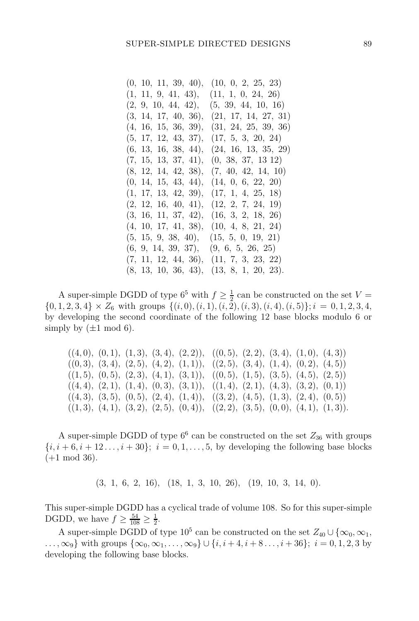| (0, 10, 11, 39, 40),    | (10, 0, 2, 25, 23)   |
|-------------------------|----------------------|
| (1, 11, 9, 41, 43),     | (11, 1, 0, 24, 26)   |
| (2, 9, 10, 44, 42),     | (5, 39, 44, 10, 16)  |
| (3, 14, 17, 40, 36),    | (21, 17, 14, 27, 31) |
| (4, 16, 15, 36, 39),    | (31, 24, 25, 39, 36) |
| (5, 17, 12, 43, 37),    | (17, 5, 3, 20, 24)   |
| $(6, 13, 16, 38, 44)$ , | (24, 16, 13, 35, 29) |
| $(7, 15, 13, 37, 41)$ , | (0, 38, 37, 1312)    |
| (8, 12, 14, 42, 38),    | (7, 40, 42, 14, 10)  |
| $(0, 14, 15, 43, 44)$ , | (14, 0, 6, 22, 20)   |
| (1, 17, 13, 42, 39),    | (17, 1, 4, 25, 18)   |
| $(2, 12, 16, 40, 41)$ , | (12, 2, 7, 24, 19)   |
| (3, 16, 11, 37, 42),    | (16, 3, 2, 18, 26)   |
| (4, 10, 17, 41, 38),    | (10, 4, 8, 21, 24)   |
| (5, 15, 9, 38, 40),     | (15, 5, 0, 19, 21)   |
| (6, 9, 14, 39, 37),     | (9, 6, 5, 26, 25)    |
| (7, 11, 12, 44, 36),    | (11, 7, 3, 23, 22)   |
| $(8, 13, 10, 36, 43)$ , | (13, 8, 1, 20, 23).  |
|                         |                      |

A super-simple DGDD of type  $6^5$  with  $f \ge \frac{1}{2}$  can be constructed on the set  $V =$ <br>1.2.3.4  $\times$   $Z_2$  with groups  $f(i, 0)$   $(i, 1)$   $(i, 2)$   $(i, 3)$   $(i, 4)$   $(i, 5)$   $(i, -0, 1, 2, 3, 4)$  ${0, 1, 2, 3, 4} \times Z_6$  with groups  ${(i, 0), (i, 1), (i, 2), (i, 3), (i, 4), (i, 5)}$ ;  $i = 0, 1, 2, 3, 4$ , by developing the second coordinate of the following 12 base blocks modulo 6 or simply by  $(\pm 1 \mod 6)$ .

 $((4, 0), (0, 1), (1, 3), (3, 4), (2, 2)), ((0, 5), (2, 2), (3, 4), (1, 0), (4, 3))$  $((0,3), (3,4), (2,5), (4,2), (1,1)), ((2,5), (3,4), (1,4), (0,2), (4,5))$  $((1, 5), (0, 5), (2, 3), (4, 1), (3, 1)), ((0, 5), (1, 5), (3, 5), (4, 5), (2, 5))$  $((4, 4), (2, 1), (1, 4), (0, 3), (3, 1)), ((1, 4), (2, 1), (4, 3), (3, 2), (0, 1))$  $((4, 3), (3, 5), (0, 5), (2, 4), (1, 4)), ((3, 2), (4, 5), (1, 3), (2, 4), (0, 5))$  $((1, 3), (4, 1), (3, 2), (2, 5), (0, 4)), ((2, 2), (3, 5), (0, 0), (4, 1), (1, 3)).$ 

A super-simple DGDD of type  $6^6$  can be constructed on the set  $Z_{36}$  with groups  ${i, i + 6, i + 12... , i + 30}; i = 0, 1,..., 5$ , by developing the following base blocks  $(+1 \mod 36).$ 

(3, <sup>1</sup>, <sup>6</sup>, <sup>2</sup>, 16), (18, <sup>1</sup>, <sup>3</sup>, <sup>10</sup>, 26), (19, <sup>10</sup>, <sup>3</sup>, <sup>14</sup>, 0).

This super-simple DGDD has a cyclical trade of volume 108. So for this super-simple DGDD, we have  $f \ge \frac{54}{108} \ge \frac{1}{2}$ .

A super-simple DGDD of type 10<sup>5</sup> can be constructed on the set  $Z_{40} \cup {\infty_0, \infty_1}$ ,  $\ldots, \infty_9$  with groups  $\{\infty_0, \infty_1, \ldots, \infty_9\} \cup \{i, i+4, i+8, \ldots, i+36\}; i = 0, 1, 2, 3$  by developing the following base blocks.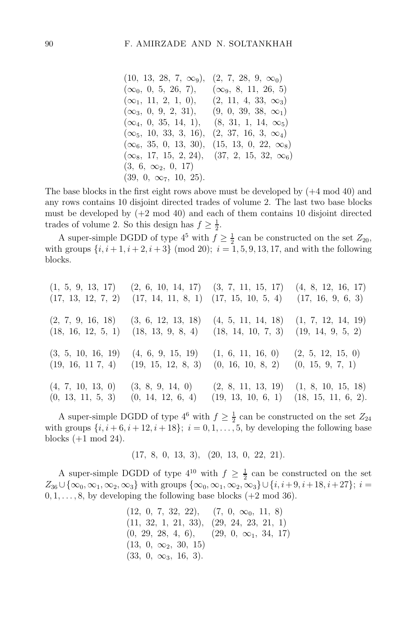| $(10, 13, 28, 7, \infty_9),$  | $(2, 7, 28, 9, \infty_0)$   |
|-------------------------------|-----------------------------|
| $(\infty_0, 0, 5, 26, 7),$    | $(\infty_9, 8, 11, 26, 5)$  |
| $(\infty_1, 11, 2, 1, 0),$    | $(2, 11, 4, 33, \infty_3)$  |
| $(\infty_3, 0, 9, 2, 31),$    | $(9, 0, 39, 38, \infty_1)$  |
| $(\infty_4, 0, 35, 14, 1),$   | $(8, 31, 1, 14, \infty_5)$  |
| $(\infty_5, 10, 33, 3, 16)$ , | $(2, 37, 16, 3, \infty_4)$  |
| $(\infty_6, 35, 0, 13, 30),$  | $(15, 13, 0, 22, \infty_8)$ |
| $(\infty_8, 17, 15, 2, 24)$ , | $(37, 2, 15, 32, \infty_6)$ |
| $(3, 6, \infty_2, 0, 17)$     |                             |
| $(39, 0, \infty_7, 10, 25).$  |                             |

(39, 0,  $\infty$ <sub>7</sub>, 10, 25).<br>The base blocks in the first eight rows above must be developed by (+4 mod 40) and any rows contains 10 disjoint directed trades of volume 2. The last two base blocks must be developed by  $(+2 \mod 40)$  and each of them contains 10 disjoint directed trades of volume 2. So this design has  $f \geq \frac{1}{2}$ .

A super-simple DGDD of type  $4^5$  with  $f \ge \frac{1}{2}$  can be constructed on the set  $Z_{20}$ ,<br>h groups  $\{i, i+1, i+2, i+3\}$  (mod 20);  $i-1, 5, 9, 13, 17$  and with the following with groups  $\{i, i+1, i+2, i+3\} \pmod{20}$ ;  $i = 1, 5, 9, 13, 17$ , and with the following blocks.

| (1, 5, 9, 13, 17)  | (2, 6, 10, 14, 17) | (3, 7, 11, 15, 17) | (4, 8, 12, 16, 17)  |
|--------------------|--------------------|--------------------|---------------------|
| (17, 13, 12, 7, 2) | (17, 14, 11, 8, 1) | (17, 15, 10, 5, 4) | (17, 16, 9, 6, 3)   |
| (2, 7, 9, 16, 18)  | (3, 6, 12, 13, 18) | (4, 5, 11, 14, 18) | (1, 7, 12, 14, 19)  |
| (18, 16, 12, 5, 1) | (18, 13, 9, 8, 4)  | (18, 14, 10, 7, 3) | (19, 14, 9, 5, 2)   |
| (3, 5, 10, 16, 19) | (4, 6, 9, 15, 19)  | (1, 6, 11, 16, 0)  | (2, 5, 12, 15, 0)   |
| (19, 16, 117, 4)   | (19, 15, 12, 8, 3) | (0, 16, 10, 8, 2)  | (0, 15, 9, 7, 1)    |
| (4, 7, 10, 13, 0)  | (3, 8, 9, 14, 0)   | (2, 8, 11, 13, 19) | (1, 8, 10, 15, 18)  |
| (0, 13, 11, 5, 3)  | (0, 14, 12, 6, 4)  | (19, 13, 10, 6, 1) | (18, 15, 11, 6, 2). |

A super-simple DGDD of type  $4^6$  with  $f \ge \frac{1}{2}$  can be constructed on the set  $Z_{24}$ <br>h groups  $f_i$   $i + 6$   $i + 12$   $i + 18$ ,  $i = 0, 1, \ldots, 5$  by developing the following base with groups  $\{i, i+6, i+12, i+18\}; i = 0, 1, \ldots, 5$ , by developing the following base blocks  $(+1 \mod 24)$ .

(17, <sup>8</sup>, <sup>0</sup>, <sup>13</sup>, 3), (20, <sup>13</sup>, <sup>0</sup>, <sup>22</sup>, 21).

A super-simple DGDD of type  $4^{10}$  with  $f \ge \frac{1}{2}$  can be constructed on the set  $Z_{36} \cup {\infty_0, \infty_1, \infty_2, \infty_3}$  with groups  ${\infty_0, \infty_1, \infty_2, \infty_3} \cup {\{i, i+9, i+18, i+27\}}$ ;  $i =$ 0, 1,..., 8, by developing the following base blocks (+2 mod 36).<br>(12, 0, 7, 32, 22), (7, 0,  $\infty_0$ , 11, 8)

 $(12, 0, 7, 32, 22), (7, 0, \infty_0, 11, 8)$ <br> $(11, 32, 1, 21, 33)$   $(29, 24, 23, 21, 1)$  $(11, 32, 1, 21, 33), (29, 24, 23, 21, 1)$ <br> $(0, 29, 28, 4, 6), (29, 0, 22, 34, 17)$  $(0, 29, 28, 4, 6), (29, 0, \infty_1, 34, 17)$  $(13, 0, \infty_2, 30, 15)$  $(33, 0, \infty_3, 16, 3).$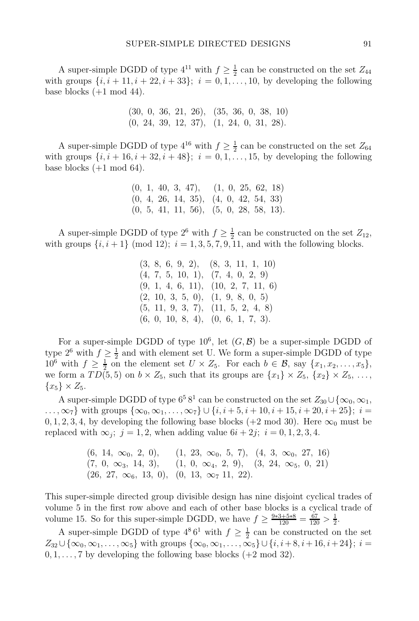A super-simple DGDD of type  $4^{11}$  with  $f \ge \frac{1}{2}$  can be constructed on the set  $Z_{44}$ <br>h groups  $f_i$   $i + 11$   $i + 22$   $i + 33$ ,  $i = 0, 1, \ldots, 10$  by developing the following with groups  $\{i, i + 11, i + 22, i + 33\}; i = 0, 1, ..., 10$ , by developing the following base blocks  $(+1 \mod 44)$ .

> (30, <sup>0</sup>, <sup>36</sup>, <sup>21</sup>, 26), (35, <sup>36</sup>, <sup>0</sup>, <sup>38</sup>, 10) (0, <sup>24</sup>, <sup>39</sup>, <sup>12</sup>, 37), (1, <sup>24</sup>, <sup>0</sup>, <sup>31</sup>, 28).

A super-simple DGDD of type  $4^{16}$  with  $f \ge \frac{1}{2}$  can be constructed on the set  $Z_{64}$ <br>h groups  $f_i$   $i + 16$   $i + 32$   $i + 48$ ,  $i = 0, 1, \ldots, 15$  by developing the following with groups  $\{i, i+16, i+32, i+48\}$ ;  $i = 0, 1, \ldots, 15$ , by developing the following base blocks  $(+1 \mod 64)$ .

> $(0, 1, 40, 3, 47), (1, 0, 25, 62, 18)$ <br> $(0, 4, 26, 14, 35), (4, 0, 42, 54, 33)$  $(0, 4, 26, 14, 35), (4, 0, 42, 54, 33)$ <br> $(0, 5, 41, 11, 56), (5, 0, 28, 58, 13)$ (0, <sup>5</sup>, <sup>41</sup>, <sup>11</sup>, 56), (5, <sup>0</sup>, <sup>28</sup>, <sup>58</sup>, 13).

A super-simple DGDD of type  $2^6$  with  $f \ge \frac{1}{2}$  can be constructed on the set  $Z_{12}$ ,<br>h groups  $\{i, i+1\}$  (mod 12):  $i = 1, 3, 5, 7, 9, 11,$  and with the following blocks with groups  $\{i, i+1\}$  (mod 12);  $i = 1, 3, 5, 7, 9, 11$ , and with the following blocks.

> (3, <sup>8</sup>, <sup>6</sup>, <sup>9</sup>, 2), (8, <sup>3</sup>, <sup>11</sup>, <sup>1</sup>, 10) (4, <sup>7</sup>, <sup>5</sup>, <sup>10</sup>, 1), (7, <sup>4</sup>, <sup>0</sup>, <sup>2</sup>, 9) (9, <sup>1</sup>, <sup>4</sup>, <sup>6</sup>, 11), (10, <sup>2</sup>, <sup>7</sup>, <sup>11</sup>, 6) (2, <sup>10</sup>, <sup>3</sup>, <sup>5</sup>, 0), (1, <sup>9</sup>, <sup>8</sup>, <sup>0</sup>, 5) (5, <sup>11</sup>, <sup>9</sup>, <sup>3</sup>, 7), (11, <sup>5</sup>, <sup>2</sup>, <sup>4</sup>, 8) (6, <sup>0</sup>, <sup>10</sup>, <sup>8</sup>, 4), (0, <sup>6</sup>, <sup>1</sup>, <sup>7</sup>, 3).

For a super-simple DGDD of type  $10^6$ , let  $(G, \mathcal{B})$  be a super-simple DGDD of type 2<sup>6</sup> with  $f \ge \frac{1}{2}$  and with element set U. We form a super-simple DGDD of type  $10^6$  with  $f \ge \frac{1}{2}$  on the element set  $U \times Z$ . For each  $h \in \mathcal{B}$  say  $f x, x_0 = x_0$  $10^6$  with  $f \ge \frac{1}{2}$  on the element set  $U \times Z_5$ . For each  $b \in \mathcal{B}$ , say  $\{x_1, x_2, \ldots, x_5\}$ , we form a  $TD(5, 5)$  on  $b \times Z_5$  such that its groups are  $\{x_1 \times Z_5, \{x_3\} \times Z_5\}$ we form a  $TD(5, 5)$  on  $b \times Z_5$ , such that its groups are  $\{x_1\} \times Z_5$ ,  $\{x_2\} \times Z_5$ , ...  ${x_5} \times Z_5$ .

A super-simple DGDD of type  $6^5 8^1$  can be constructed on the set  $Z_{30} \cup {\infty_0, \infty_1}$ ,  $\ldots, \infty_7$  with groups  $\{\infty_0, \infty_1, \ldots, \infty_7\} \cup \{i, i+5, i+10, i+15, i+20, i+25\}; i =$ 0, 1, 2, 3, 4, by developing the following base blocks (+2 mod 30). Here  $\infty_0$  must be replaced with  $\infty_j$ ; j = 1, 2, when adding value  $6i + 2j$ ; i = 0, 1, 2, 3, 4.

| $(6, 14, \infty_0, 2, 0),$                                                  | $(1, 23, \infty_0, 5, 7), (4, 3, \infty_0, 27, 16)$ |  |
|-----------------------------------------------------------------------------|-----------------------------------------------------|--|
| $(7, 0, \infty_3, 14, 3), (1, 0, \infty_4, 2, 9), (3, 24, \infty_5, 0, 21)$ |                                                     |  |
| $(26, 27, \infty_6, 13, 0), (0, 13, \infty_7 11, 22).$                      |                                                     |  |
|                                                                             |                                                     |  |

This super-simple directed group divisible design has nine disjoint cyclical trades of volume 5 in the first row above and each of other base blocks is a cyclical trade of volume 15. So for this super-simple DGDD, we have  $f \ge \frac{9*3+5*8}{120} = \frac{67}{120} > \frac{1}{2}$ .

A super-simple DGDD of type  $4^8 6^1$  with  $f \ge \frac{1}{2}$  can be constructed on the set  $Z_{32} \cup {\infty_0, \infty_1, \ldots, \infty_5}$  with groups  $\{\infty_0, \infty_1, \ldots, \infty_5\} \cup \{i, i+8, i+16, i+24\}; i =$  $0, 1, \ldots, 7$  by developing the following base blocks  $(+2 \mod 32)$ .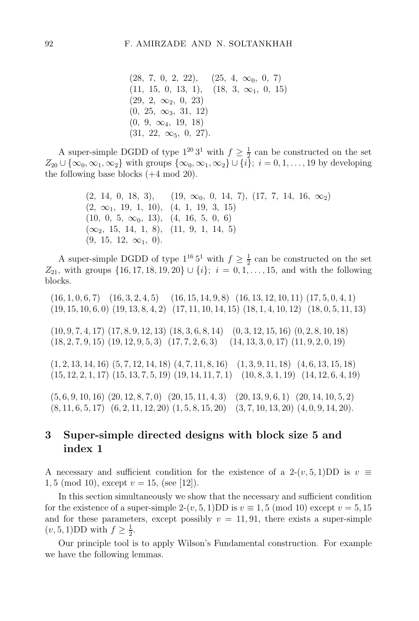$(28, 7, 0, 2, 22), (25, 4, \infty_0, 0, 7)$ <br>(11, 15, 0, 13, 1), (18, 3,  $\infty_1$ , 0, 13  $(18, 3, \infty_1, 0, 15)$  $(29, 2, \infty_2, 0, 23)$  $(0, 25, \infty_3, 31, 12)$  $(0, 9, \infty_4, 19, 18)$  $(31, 22, \infty_5, 0, 27).$ 

A super-simple DGDD of type  $1^{20}3^1$  with  $f \ge \frac{1}{2}$  can be constructed on the set  $Z_{20} \cup {\infty_0, \infty_1, \infty_2}$  with groups  ${\infty_0, \infty_1, \infty_2} \cup {i}$ ;  $i = 0, 1, \ldots, 19$  by developing the following base blocks (+4 mod 20).

> $(2, 14, 0, 18, 3), (19, \infty_0, 0, 14, 7), (17, 7, 14, 16, \infty_2)$  $(2, \infty_1, 19, 1, 10), (4, 1, 19, 3, 15)$  $(10, 0, 5, \infty_0, 13), (4, 16, 5, 0, 6)$  $(\infty_2, 15, 14, 1, 8), (11, 9, 1, 14, 5)$  $(9, 15, 12, \infty_1, 0).$

A super-simple DGDD of type  $1^{16}5^1$  with  $f \ge \frac{1}{2}$  can be constructed on the set<br>with groups  $f_{16}$  17 18 19  $20\cup f_{1}$ ,  $i = 0, 1, \ldots, 15$  and with the following  $Z_{21}$ , with groups  $\{16, 17, 18, 19, 20\} \cup \{i\}; i = 0, 1, \ldots, 15$ , and with the following blocks.

 $(16, 1, 0, 6, 7)$   $(16, 3, 2, 4, 5)$   $(16, 15, 14, 9, 8)$   $(16, 13, 12, 10, 11)$   $(17, 5, 0, 4, 1)$  $(19, 15, 10, 6, 0)$   $(19, 13, 8, 4, 2)$   $(17, 11, 10, 14, 15)$   $(18, 1, 4, 10, 12)$   $(18, 0, 5, 11, 13)$ (10, <sup>9</sup>, <sup>7</sup>, <sup>4</sup>, 17) (17, <sup>8</sup>, <sup>9</sup>, <sup>12</sup>, 13) (18, <sup>3</sup>, <sup>6</sup>, <sup>8</sup>, 14) (0, <sup>3</sup>, <sup>12</sup>, <sup>15</sup>, 16) (0, <sup>2</sup>, <sup>8</sup>, <sup>10</sup>, 18)  $(18, 2, 7, 9, 15)$   $(19, 12, 9, 5, 3)$   $(17, 7, 2, 6, 3)$   $(14, 13, 3, 0, 17)$   $(11, 9, 2, 0, 19)$  $(1, 2, 13, 14, 16)$   $(5, 7, 12, 14, 18)$   $(4, 7, 11, 8, 16)$   $(1, 3, 9, 11, 18)$   $(4, 6, 13, 15, 18)$  $(15, 12, 2, 1, 17)$   $(15, 13, 7, 5, 19)$   $(19, 14, 11, 7, 1)$   $(10, 8, 3, 1, 19)$   $(14, 12, 6, 4, 19)$ 

 $(5, 6, 9, 10, 16)$   $(20, 12, 8, 7, 0)$   $(20, 15, 11, 4, 3)$   $(20, 13, 9, 6, 1)$   $(20, 14, 10, 5, 2)$  $(8, 11, 6, 5, 17)$   $(6, 2, 11, 12, 20)$   $(1, 5, 8, 15, 20)$   $(3, 7, 10, 13, 20)$   $(4, 0, 9, 14, 20)$ .

## **3 Super-simple directed designs with block size 5 and index 1**

A necessary and sufficient condition for the existence of a 2- $(v, 5, 1)$ DD is  $v \equiv$ 1, 5 (mod 10), except  $v = 15$ , (see [12]).

In this section simultaneously we show that the necessary and sufficient condition for the existence of a super-simple 2- $(v, 5, 1)$ DD is  $v \equiv 1, 5 \pmod{10}$  except  $v = 5, 15$ and for these parameters, except possibly  $v = 11, 91$ , there exists a super-simple  $(v, 5, 1)$ DD with  $f \geq \frac{1}{2}$ .

Our principle tool is to apply Wilson's Fundamental construction. For example we have the following lemmas.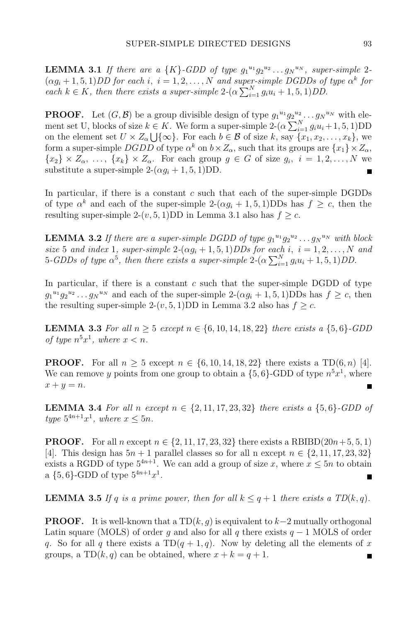**LEMMA 3.1** *If there are a*  $\{K\}$ -*GDD of type*  $g_1^{u_1} g_2^{u_2} \dots g_N^{u_N}$ , super-simple 2-<br>( $\alpha a + 1$ , 5, 1) DD for each i, i = 1, 2. N, and super-simple DCDDs of type  $\alpha^k$  for **EXEMINIA 3.1** If there are  $a \{K\}$ -GDD of type  $g_1$   $g_2$   $\cdots$ ,  $g_N$   $\cdots$ , super-simple  $2$   $(\alpha g_i + 1, 5, 1)$ DD for each  $i, i = 1, 2, \ldots, N$  and super-simple DGDDs of type  $\alpha^k$  for each  $k \in K$ , then there exists a sup *each*  $k \in K$ , then there exists a super-simple  $2-(\alpha \sum_{i=1}^{N} g_i u_i + 1, 5, 1)DD$ .

**PROOF.** Let  $(G, \mathcal{B})$  be a group divisible design of type  $g_1^{u_1} g_2^{u_2} \dots g_N^{u_N}$  with element set II blocks of size  $k \in K$ . We form a super-simple  $2\omega(N^N, g_2u + 1, 5, 1)$ DD ment set U, blocks of size  $k \in K$ . We form a super-simple  $2-(\alpha \sum_{i=1}^{N} g_i u_i + 1, 5, 1)$ DD<br>on the element set  $U \times Z + V \infty$ . For each  $h \in \mathcal{B}$  of size  $k$ , say  $\{x, x_0, \ldots, x_n\}$ , we on the element set  $U \times Z_{\alpha} \cup \{\infty\}$ . For each  $b \in \mathcal{B}$  of size k, say  $\{x_1, x_2, \ldots, x_k\}$ , we<br>form a super-simple  $DGDD$  of type  $\alpha^k$  on  $b \times Z$  such that its groups are  $\{x, y \times Z\}$ form a super-simple DGDD of type  $\alpha^k$  on  $b \times Z_\alpha$ , such that its groups are  $\{x_1\} \times Z_\alpha$ ,  ${x_2} \times Z_\alpha, \ldots, {x_k} \times Z_\alpha$ . For each group  $g \in G$  of size  $g_i, i = 1, 2, \ldots, N$  we substitute a super-simple  $2-(\alpha q_i+1, 5, 1)$ DD.

In particular, if there is a constant  $c$  such that each of the super-simple DGDDs of type  $\alpha^k$  and each of the super-simple 2- $(\alpha q_i + 1, 5, 1)$ DDs has  $f \geq c$ , then the resulting super-simple 2-(v, 5, 1)DD in Lemma 3.1 also has  $f \geq c$ .

**LEMMA 3.2** *If there are a super-simple DGDD of type*  $g_1^{u_1}g_2^{u_2} \ldots g_N^{u_N}$  with block<br>size 5 and index 1, super-simple  $2-(\alpha a+1)5$ , 1) DDs for each  $i, i=1, 2, \ldots, N$  and **EXEMINIA 3.2** If there are a super-simple  $DGDD$  of type  $g_1 \cdot g_2 \cdot \ldots g_N \cdot N$  with block<br>size 5 and index 1, super-simple  $2-(\alpha g_i + 1, 5, 1)DB$  for each i,  $i = 1, 2, \ldots, N$  and<br>5. CDDs of type  $\alpha^5$ , then there exists a sup 5-*GDDs of type*  $\alpha^5$ *, then there exists a super-simple*  $2-(\alpha \sum_{i=1}^{N} g_i u_i + 1, 5, 1)DD$ .

In particular, if there is a constant  $c$  such that the super-simple DGDD of type  $g_1 \cdot g_2 \cdot \ldots g_N \cdot$  and each of the super-simple  $2-(\alpha g_i + 1, 3, 1)$ DDs has the resulting super-simple  $2-(v, 5, 1)$ DD in Lemma 3.2 also has  $f \ge c$ .  $u_1 g_2^{u_2} \dots g_N^{u_N}$  and each of the super-simple 2- $(\alpha g_i + 1, 5, 1)$ DDs has  $f \ge c$ , then<br>e resulting super-simple 2- $(v, 5, 1)$ DD in Lemma 3.2 also has  $f > c$ 

**LEMMA 3.3** *For all*  $n \geq 5$  *except*  $n \in \{6, 10, 14, 18, 22\}$  *there exists a*  $\{5, 6\}$ *-GDD of type*  $n^5x^1$ *, where*  $x < n$ *.* 

**PROOF.** For all  $n \geq 5$  except  $n \in \{6, 10, 14, 18, 22\}$  there exists a TD(6, n) [4]. We can remove y points from one group to obtain a  $\{5, 6\}$ -GDD of type  $n^5x^1$ , where  $x + y = n.$ 

**LEMMA 3.4** *For all*  $n$  *except*  $n \in \{2, 11, 17, 23, 32\}$  *there exists a*  $\{5, 6\}$ *-GDD of type*  $5^{4n+1}x^1$ *, where*  $x \leq 5n$ *.* 

**PROOF.** For all n except  $n \in \{2, 11, 17, 23, 32\}$  there exists a RBIBD(20n+5, 5, 1) [4]. This design has  $5n + 1$  parallel classes so for all n except  $n \in \{2, 11, 17, 23, 32\}$ exists a RGDD of type  $5^{4n+1}$ . We can add a group of size x, where  $x \leq 5n$  to obtain a  $\{5, 6\}$ -GDD of type  $5^{4n+1}x^1$ .

**LEMMA 3.5** If q is a prime power, then for all  $k \leq q+1$  there exists a TD(k, q).

**PROOF.** It is well-known that a  $TD(k, q)$  is equivalent to  $k-2$  mutually orthogonal Latin square (MOLS) of order g and also for all q there exists  $q - 1$  MOLS of order q. So for all q there exists a  $TD(q + 1, q)$ . Now by deleting all the elements of x groups, a TD $(k, q)$  can be obtained, where  $x + k = q + 1$ .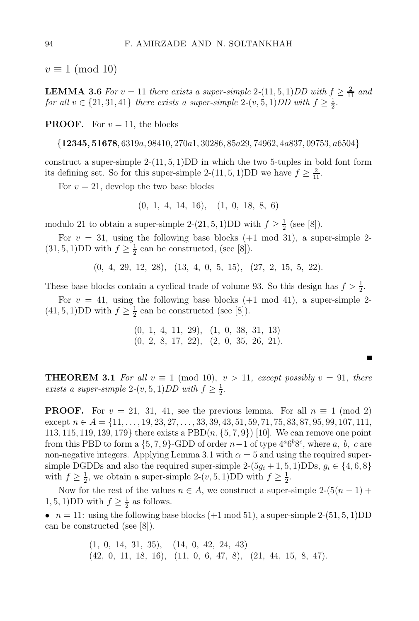$v \equiv 1 \pmod{10}$ 

**LEMMA 3.6** *For*  $v = 11$  *there exists a super-simple* 2-(11, 5, 1)*DD with*  $f \geq \frac{2}{11}$  *and* for all  $v \in \{21, 31, 41\}$  *there exists a super-simple* 2-(*x*, 5, 1)*DD with*  $f \geq \frac{1}{4}$ *for all*  $v \in \{21, 31, 41\}$  *there exists a super-simple*  $2-(v, 5, 1)DD$  *with*  $f \ge \frac{1}{2}$ *.* 

**PROOF.** For  $v = 11$ , the blocks

{**12345, 51678**, <sup>6319</sup>a, <sup>98410</sup>, <sup>270</sup>a1, <sup>30286</sup>, <sup>85</sup>a29, <sup>74962</sup>, <sup>4</sup>a837, <sup>09753</sup>, a6504}

construct a super-simple  $2-(11, 5, 1)$ DD in which the two 5-tuples in bold font form its defining set. So for this super-simple 2-(11, 5, 1)DD we have  $f \ge \frac{2}{11}$ .

For  $v = 21$ , develop the two base blocks

$$
(0, 1, 4, 14, 16), (1, 0, 18, 8, 6)
$$

modulo 21 to obtain a super-simple 2-(21, 5, 1)DD with  $f \ge \frac{1}{2}$  (see [8]).

For  $v = 31$ , using the following base blocks  $(+1 \mod 31)$ , a super-simple 2- $(31, 5, 1)$ DD with  $f \ge \frac{1}{2}$  can be constructed, (see [8]).

(0, <sup>4</sup>, <sup>29</sup>, <sup>12</sup>, 28), (13, <sup>4</sup>, <sup>0</sup>, <sup>5</sup>, 15), (27, <sup>2</sup>, <sup>15</sup>, <sup>5</sup>, 22).

These base blocks contain a cyclical trade of volume 93. So this design has  $f > \frac{1}{2}$ .

For  $v = 41$ , using the following base blocks  $(+1 \mod 41)$ , a super-simple 2- $(41, 5, 1)$ DD with  $f \ge \frac{1}{2}$  can be constructed (see [8]).

> (0, <sup>1</sup>, <sup>4</sup>, <sup>11</sup>, 29), (1, <sup>0</sup>, <sup>38</sup>, <sup>31</sup>, 13) (0, <sup>2</sup>, <sup>8</sup>, <sup>17</sup>, 22), (2, <sup>0</sup>, <sup>35</sup>, <sup>26</sup>, 21).

**THEOREM 3.1** For all  $v \equiv 1 \pmod{10}$ ,  $v > 11$ , except possibly  $v = 91$ , there *exists a super-simple* 2- $(v, 5, 1)$ *DD with*  $f \ge \frac{1}{2}$ *.* 

**PROOF.** For  $v = 21, 31, 41$ , see the previous lemma. For all  $n \equiv 1 \pmod{2}$ except  $n \in A = \{11, \ldots, 19, 23, 27, \ldots, 33, 39, 43, 51, 59, 71, 75, 83, 87, 95, 99, 107, 111,$ 113, 115, 119, 139, 179} there exists a  $PBD(n, {5, 7, 9})$  [10]. We can remove one point from this PBD to form a  $\{5, 7, 9\}$ -GDD of order  $n-1$  of type  $4^a 6^b 8^c$ , where a, b, c are<br>non-negative integers. Applying Lemma 3.1 with  $\alpha = 5$  and using the required supernon-negative integers. Applying Lemma 3.1 with  $\alpha = 5$  and using the required supersimple DGDDs and also the required super-simple 2- $(5g_i + 1, 5, 1)$ DDs,  $g_i \in \{4, 6, 8\}$ with  $f \ge \frac{1}{2}$ , we obtain a super-simple 2-(v, 5, 1)DD with  $f \ge \frac{1}{2}$ .

Now for the rest of the values  $n \in A$ , we construct a super-simple 2- $(5(n-1) +$ 1, 5, 1)DD with  $f \ge \frac{1}{2}$  as follows.

•  $n = 11$ : using the following base blocks (+1 mod 51), a super-simple 2-(51, 5, 1)DD can be constructed (see [8]).

$$
(1, 0, 14, 31, 35), (14, 0, 42, 24, 43)
$$
  
 $(42, 0, 11, 18, 16), (11, 0, 6, 47, 8), (21, 44, 15, 8, 47).$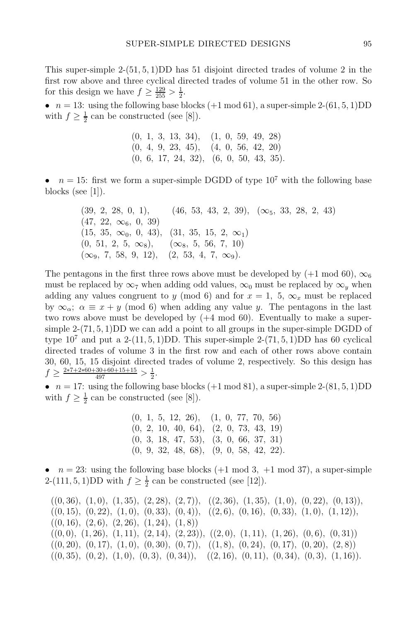This super-simple 2-(51, <sup>5</sup>, 1)DD has 51 disjoint directed trades of volume 2 in the first row above and three cyclical directed trades of volume 51 in the other row. So for this design we have  $f \ge \frac{129}{255} > \frac{1}{2}$ .

•  $n = 13$ : using the following base blocks (+1 mod 61), a super-simple 2-(61, 5, 1)DD with  $f \geq \frac{1}{2}$  can be constructed (see [8]).

|  | (0, 1, 3, 13, 34), (1, 0, 59, 49, 28)     |  |  |  |
|--|-------------------------------------------|--|--|--|
|  | (0, 4, 9, 23, 45), (4, 0, 56, 42, 20)     |  |  |  |
|  | $(0, 6, 17, 24, 32), (6, 0, 50, 43, 35).$ |  |  |  |
|  |                                           |  |  |  |

•  $n = 15$ : first we form a super-simple DGDD of type  $10^7$  with the following base blocks (see [1]).

> $(39, 2, 28, 0, 1), \quad (46, 53, 43, 2, 39), (\infty_5, 33, 28, 2, 43)$  $(47, 22, \infty_6, 0, 39)$ <br>(15, 35,  $\infty_0$ , 0, 43),  $(15, 35, \infty_0, 0, 43), (31, 35, 15, 2, \infty_1)$ <br>  $(0, 51, 2, 5, \infty_8), (\infty_8, 5, 56, 7, 10)$  $(0, 51, 2, 5, \infty_8), \quad (\infty_8, 5, 56, 7, 10)$  $(\infty_9, 7, 58, 9, 12), (2, 53, 4, 7, \infty_9).$

The pentagons in the first three rows above must be developed by  $(+1 \mod 60)$ ,  $\infty_6$ must be replaced by  $\infty_7$  when adding odd values,  $\infty_0$  must be replaced by  $\infty_y$  when adding any values congruent to y (mod 6) and for  $x = 1, 5, \infty_x$  must be replaced by  $\infty_{\alpha}$ ;  $\alpha \equiv x + y \pmod{6}$  when adding any value y. The pentagons in the last two rows above must be developed by (+4 mod 60). Eventually to make a supersimple  $2-(71, 5, 1)$ DD we can add a point to all groups in the super-simple DGDD of type  $10^7$  and put a 2-(11, 5, 1)DD. This super-simple 2-(71, 5, 1)DD has 60 cyclical directed trades of volume 3 in the first row and each of other rows above contain 30, 60, 15, 15 disjoint directed trades of volume 2, respectively. So this design has  $f \geq \frac{2 \cdot 7 + 2 \cdot 60 + 30 + 60 + 15 + 15}{497} > \frac{1}{2}.$ 

•  $n = 17$ : using the following base blocks (+1 mod 81), a super-simple 2-(81, 5, 1)DD with  $f \geq \frac{1}{2}$  can be constructed (see [8]).

|  | (0, 1, 5, 12, 26), (1, 0, 77, 70, 56)     |  |  |
|--|-------------------------------------------|--|--|
|  | $(0, 2, 10, 40, 64), (2, 0, 73, 43, 19)$  |  |  |
|  | $(0, 3, 18, 47, 53), (3, 0, 66, 37, 31)$  |  |  |
|  | $(0, 9, 32, 48, 68), (9, 0, 58, 42, 22).$ |  |  |
|  |                                           |  |  |

•  $n = 23$ : using the following base blocks (+1 mod 3, +1 mod 37), a super-simple 2-(111, 5, 1)DD with  $f \ge \frac{1}{2}$  can be constructed (see [12]).

 $((0,36), (1,0), (1,35), (2,28), (2,7)), ((2,36), (1,35), (1,0), (0,22), (0,13)),$  $((0, 15), (0, 22), (1, 0), (0, 33), (0, 4)), ((2, 6), (0, 16), (0, 33), (1, 0), (1, 12)),$  $((0, 16), (2, 6), (2, 26), (1, 24), (1, 8))$  $((0,0), (1,26), (1,11), (2,14), (2,23)), ((2,0), (1,11), (1,26), (0,6), (0,31))$  $((0, 20), (0, 17), (1, 0), (0, 30), (0, 7)), ((1, 8), (0, 24), (0, 17), (0, 20), (2, 8))$  $((0, 35), (0, 2), (1, 0), (0, 3), (0, 34)), ((2, 16), (0, 11), (0, 34), (0, 3), (1, 16)).$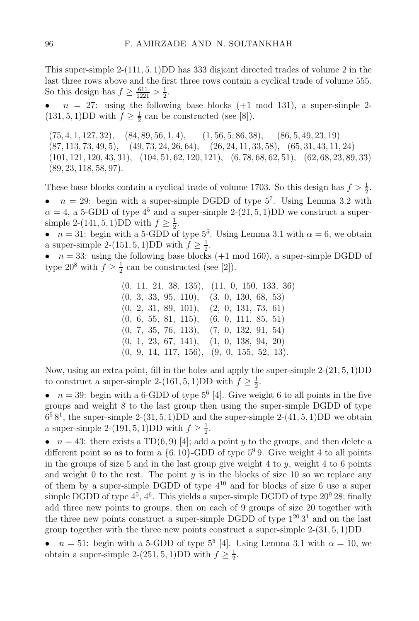This super-simple 2-(111, <sup>5</sup>, 1)DD has 333 disjoint directed trades of volume 2 in the last three rows above and the first three rows contain a cyclical trade of volume 555. So this design has  $f \ge \frac{611}{1221} > \frac{1}{2}$ .

 $n = 27$ : using the following base blocks  $(+1 \mod 131)$ , a super-simple 2- $(131, 5, 1)$ DD with  $f \ge \frac{1}{2}$  can be constructed (see [8]).

 $(75, 4, 1, 127, 32), (84, 89, 56, 1, 4), (1, 56, 5, 86, 38), (86, 5, 49, 23, 19)$ <br> $(87, 113, 73, 49, 5), (49, 73, 24, 26, 64), (26, 24, 11, 33, 58), (65, 31, 43, 11)$  $(87, 113, 73, 49, 5), (49, 73, 24, 26, 64), (26, 24, 11, 33, 58), (65, 31, 43, 11, 24)$ (101, <sup>121</sup>, <sup>120</sup>, <sup>43</sup>, 31), (104, <sup>51</sup>, <sup>62</sup>, <sup>120</sup>, 121), (6, <sup>78</sup>, <sup>68</sup>, <sup>62</sup>, 51), (62, <sup>68</sup>, <sup>23</sup>, <sup>89</sup>, 33) (89, <sup>23</sup>, <sup>118</sup>, <sup>58</sup>, 97).

These base blocks contain a cyclical trade of volume 1703. So this design has  $f > \frac{1}{2}$ .

 $n = 29$ : begin with a super-simple DGDD of type  $5^7$ . Using Lemma 3.2 with  $\alpha = 4$ , a 5-GDD of type  $4^5$  and a super-simple 2-(21, 5, 1)DD we construct a supersimple 2-(141, 5, 1)DD with  $f \geq \frac{1}{2}$ .

•  $n = 31$ : begin with a 5-GDD of type 5<sup>5</sup>. Using Lemma 3.1 with  $\alpha = 6$ , we obtain a super-simple 2-(151, 5, 1)DD with  $f \geq \frac{1}{2}$ .

•  $n = 33$ : using the following base blocks  $(+1 \mod 160)$ , a super-simple DGDD of type 20<sup>8</sup> with  $f \ge \frac{1}{2}$  can be constructed (see [2]).

> (0, <sup>11</sup>, <sup>21</sup>, <sup>38</sup>, 135), (11, <sup>0</sup>, <sup>150</sup>, <sup>133</sup>, 36) (0, <sup>3</sup>, <sup>33</sup>, <sup>95</sup>, 110), (3, <sup>0</sup>, <sup>130</sup>, <sup>68</sup>, 53) (0, <sup>2</sup>, <sup>31</sup>, <sup>89</sup>, 101), (2, <sup>0</sup>, <sup>131</sup>, <sup>73</sup>, 61) (0, <sup>6</sup>, <sup>55</sup>, <sup>81</sup>, 115), (6, <sup>0</sup>, <sup>111</sup>, <sup>85</sup>, 51)  $(0, 7, 35, 76, 113), (7, 0, 132, 91, 54)$ <br> $(0, 1, 23, 67, 141), (1, 0, 138, 94, 20)$  $(0, 1, 23, 67, 141), (1, 0, 138, 94, 20)$ <br> $(0, 9, 14, 117, 156), (9, 0, 155, 52, 13)$ (0, <sup>9</sup>, <sup>14</sup>, <sup>117</sup>, 156), (9, <sup>0</sup>, <sup>155</sup>, <sup>52</sup>, 13).

Now, using an extra point, fill in the holes and apply the super-simple  $2-(21, 5, 1)$ DD to construct a super-simple 2-(161, 5, 1)DD with  $f \ge \frac{1}{2}$ .

•  $n = 39$ : begin with a 6-GDD of type  $5^6$  [4]. Give weight 6 to all points in the five groups and weight 8 to the last group then using the super-simple DGDD of type  $6<sup>5</sup> 8<sup>1</sup>$ , the super-simple 2-(31, 5, 1)DD and the super-simple 2-(41, 5, 1)DD we obtain a super-simple 2-(191, 5, 1)DD with  $f \ge \frac{1}{2}$ .

•  $n = 43$ : there exists a TD(6,9) [4]; add a point y to the groups, and then delete a different point so as to form a  ${6, 10}$ -GDD of type  $5^9$ 9. Give weight 4 to all points in the groups of size  $5$  and in the last group give weight  $4$  to  $y$ , weight  $4$  to  $6$  points and weight  $0$  to the rest. The point  $y$  is in the blocks of size 10 so we replace any of them by a super-simple DGDD of type  $4^{10}$  and for blocks of size 6 use a super simple DGDD of type  $4^5$ ,  $4^6$ . This yields a super-simple DGDD of type  $20^9$  28; finally add three new points to groups, then on each of 9 groups of size 20 together with the three new points construct a super-simple DGDD of type  $1^{20}$  3<sup>1</sup> and on the last group together with the three new points construct a super-simple 2-(31, <sup>5</sup>, 1)DD.

 $n = 51$ : begin with a 5-GDD of type  $5^5$  [4]. Using Lemma 3.1 with  $\alpha = 10$ , we obtain a super-simple 2-(251, 5, 1)DD with  $f \ge \frac{1}{2}$ .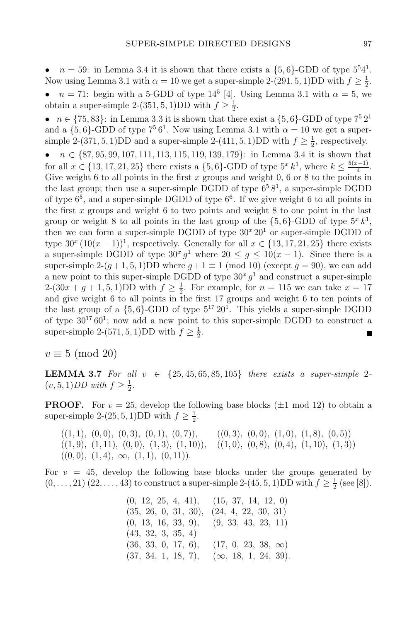•  $n = 59$ : in Lemma 3.4 it is shown that there exists a  $\{5, 6\}$ -GDD of type  $5^54^1$ . Now using Lemma 3.1 with  $\alpha = 10$  we get a super-simple 2-(291, 5, 1)DD with  $f \ge \frac{1}{2}$ .

•  $n = 71$ : begin with a 5-GDD of type 14<sup>5</sup> [4]. Using Lemma 3.1 with  $\alpha = 5$ , we obtain a super-simple 2-(351, 5, 1)DD with  $f \geq \frac{1}{2}$ .

•  $n \in \{75, 83\}$ : in Lemma 3.3 it is shown that there exist a  $\{5, 6\}$ -GDD of type  $7^5 2^1$ and a  $\{5, 6\}$ -GDD of type  $7^5$  6<sup>1</sup>. Now using Lemma 3.1 with  $\alpha = 10$  we get a supersimple 2-(371, 5, 1)DD and a super-simple 2-(411, 5, 1)DD with  $f \ge \frac{1}{2}$ , respectively.

 $n \in \{87, 95, 99, 107, 111, 113, 115, 119, 139, 179\}$ : in Lemma 3.4 it is shown that for all  $x \in \{13, 17, 21, 25\}$  there exists a  $\{5, 6\}$ -GDD of type  $5^x k^1$ , where  $k \leq \frac{5(x-1)}{4}$ .<br>Give weight 6 to all points in the first x groups and weight 0, 6 or 8 to the points in Give weight 6 to all points in the first  $x$  groups and weight 0, 6 or 8 to the points in the last group; then use a super-simple DGDD of type  $6<sup>5</sup> 8<sup>1</sup>$ , a super-simple DGDD of type  $6^5$ , and a super-simple DGDD of type  $6^6$ . If we give weight 6 to all points in the first x groups and weight 6 to two points and weight 8 to one point in the last group or weight 8 to all points in the last group of the  $\{5, 6\}$ -GDD of type  $5^x k^1$ , then we can form a super-simple DGDD of type  $30<sup>x</sup> 20<sup>1</sup>$  or super-simple DGDD of type  $30^x (10(x - 1))^1$ , respectively. Generally for all  $x \in \{13, 17, 21, 25\}$  there exists a super-simple DGDD of type  $30^x g^1$  where  $20 \le g \le 10(x - 1)$ . Since there is a super-simple 2- $(q+1, 5, 1)$ DD where  $q+1 \equiv 1 \pmod{10}$  (except  $q = 90$ ), we can add a new point to this super-simple DGDD of type  $30<sup>x</sup> g<sup>1</sup>$  and construct a super-simple  $2-(30x + g + 1, 5, 1)$ DD with  $f \ge \frac{1}{2}$ . For example, for  $n = 115$  we can take  $x = 17$ <br>and give weight 6 to all points in the first 17 groups and weight 6 to ten points of and give weight 6 to all points in the first 17 groups and weight 6 to ten points of the last group of a  ${5, 6}$ -GDD of type  $5^{17} 20^1$ . This yields a super-simple DGDD of type  $30^{17}60^{1}$ ; now add a new point to this super-simple DGDD to construct a super-simple 2-(571, 5, 1)DD with  $f \ge \frac{1}{2}$ .  $\blacksquare$ 

 $v \equiv 5 \pmod{20}$ 

**LEMMA 3.7** *For all*  $v \in \{25, 45, 65, 85, 105\}$  *there exists a super-simple* 2- $(v, 5, 1)$ *DD* with  $f \ge \frac{1}{2}$ .

**PROOF.** For  $v = 25$ , develop the following base blocks ( $\pm 1$  mod 12) to obtain a super-simple 2-(25, 5, 1)DD with  $f \ge \frac{1}{2}$ .

 $((1, 1), (0, 0), (0, 3), (0, 1), (0, 7)), (0, 3), (0, 0), (1, 0), (1, 8), (0, 5))$ <br> $((1, 0), (1, 11), (0, 0), (1, 3), (1, 10)), ((1, 0), (0, 8), (0, 4), (1, 10), (1, 3))$  $((1, 9), (1, 11), (0, 0), (1, 3), (1, 10)), ((1, 0), (0, 8), (0, 4), (1, 10), (1, 3))$  $((0, 0), (1, 4), \infty, (1, 1), (0, 11)).$ 

For  $v = 45$ , develop the following base blocks under the groups generated by  $(0, \ldots, 21)$   $(22, \ldots, 43)$  to construct a super-simple 2-(45, 5, 1)DD with  $f \ge \frac{1}{2}$  (see [8]).

| (0, 12, 25, 4, 41),  | (15, 37, 14, 12, 0)        |
|----------------------|----------------------------|
| (35, 26, 0, 31, 30), | (24, 4, 22, 30, 31)        |
| (0, 13, 16, 33, 9),  | (9, 33, 43, 23, 11)        |
| (43, 32, 3, 35, 4)   |                            |
| (36, 33, 0, 17, 6),  | $(17, 0, 23, 38, \infty)$  |
| (37, 34, 1, 18, 7),  | $(\infty, 18, 1, 24, 39).$ |
|                      |                            |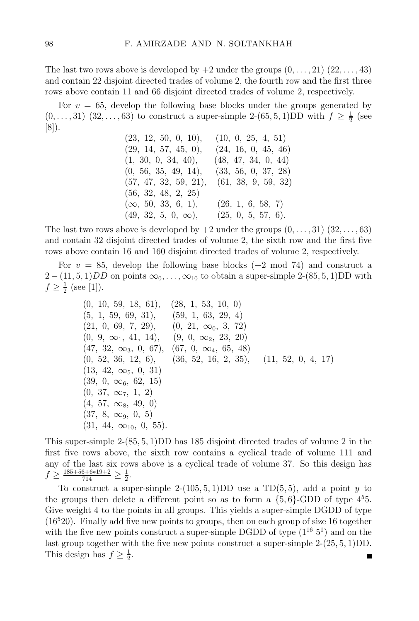The last two rows above is developed by  $+2$  under the groups  $(0,\ldots, 21)$   $(22,\ldots, 43)$ and contain 22 disjoint directed trades of volume 2, the fourth row and the first three rows above contain 11 and 66 disjoint directed trades of volume 2, respectively.

For  $v = 65$ , develop the following base blocks under the groups generated by  $(0, ..., 31)$   $(32, ..., 63)$  to construct a super-simple 2- $(65, 5, 1)$ DD with  $f \ge \frac{1}{2}$  (see [8]).

| (10, 0, 25, 4, 51)  |
|---------------------|
| (24, 16, 0, 45, 46) |
| (48, 47, 34, 0, 44) |
| (33, 56, 0, 37, 28) |
| (61, 38, 9, 59, 32) |
|                     |
| (26, 1, 6, 58, 7)   |
| (25, 0, 5, 57, 6).  |
|                     |

The last two rows above is developed by  $+2$  under the groups  $(0,\ldots,31)$   $(32,\ldots,63)$ and contain 32 disjoint directed trades of volume 2, the sixth row and the first five rows above contain 16 and 160 disjoint directed trades of volume 2, respectively.

For  $v = 85$ , develop the following base blocks  $(+2 \mod 74)$  and construct a  $2 - (11, 5, 1)DD$  on points  $\infty_0, \ldots, \infty_{10}$  to obtain a super-simple 2-(85, 5, 1)DD with  $f \ge \frac{1}{2}$  (see [1]).

| $(0, 10, 59, 18, 61)$ ,         | (28, 1, 53, 10, 0)          |                    |
|---------------------------------|-----------------------------|--------------------|
| (5, 1, 59, 69, 31),             | (59, 1, 63, 29, 4)          |                    |
| (21, 0, 69, 7, 29),             | $(0, 21, \infty_0, 3, 72)$  |                    |
| $(0, 9, \infty_1, 41, 14),$     | $(9, 0, \infty_2, 23, 20)$  |                    |
| $(47, 32, \infty_3, 0, 67),$    | $(67, 0, \infty_4, 65, 48)$ |                    |
| (0, 52, 36, 12, 6),             | (36, 52, 16, 2, 35),        | (11, 52, 0, 4, 17) |
| $(13, 42, \infty_5, 0, 31)$     |                             |                    |
| $(39, 0, \infty_6, 62, 15)$     |                             |                    |
| $(0, 37, \infty_7, 1, 2)$       |                             |                    |
| $(4, 57, \infty_8, 49, 0)$      |                             |                    |
| $(37, 8, \infty_9, 0, 5)$       |                             |                    |
| $(31, 44, \infty_{10}, 0, 55).$ |                             |                    |
|                                 |                             |                    |

This super-simple 2-(85, <sup>5</sup>, 1)DD has 185 disjoint directed trades of volume 2 in the first five rows above, the sixth row contains a cyclical trade of volume 111 and any of the last six rows above is a cyclical trade of volume 37. So this design has  $f \geq \frac{185 + 56 + 6*19 + 2}{714} \geq \frac{1}{2}.$ 

To construct a super-simple 2-(105, 5, 1)DD use a TD(5, 5), add a point y to the groups then delete a different point so as to form a  $\{5,6\}$ -GDD of type  $4^5$ 5. Give weight 4 to the points in all groups. This yields a super-simple DGDD of type  $(16<sup>5</sup>20)$ . Finally add five new points to groups, then on each group of size 16 together with the five new points construct a super-simple DGDD of type  $(1^{16} 5^1)$  and on the last group together with the five new points construct a super-simple 2-(25, 5, 1)DD.<br>This design has  $f > \frac{1}{2}$ . This design has  $f \geq \frac{1}{2}$ .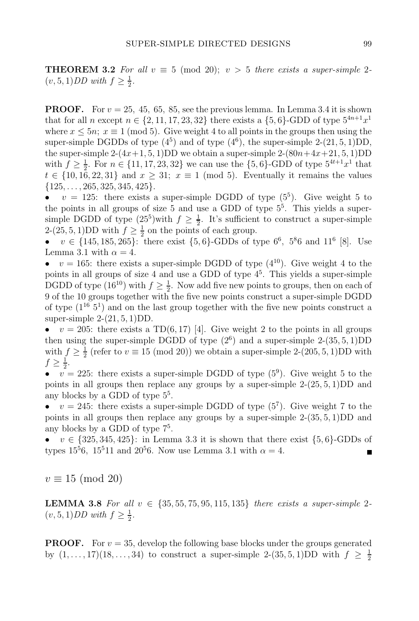**THEOREM 3.2** For all  $v \equiv 5 \pmod{20}$ ;  $v > 5$  there exists a super-simple 2- $(v, 5, 1)$ *DD* with  $f \ge \frac{1}{2}$ *.* 

**PROOF.** For  $v = 25, 45, 65, 85$ , see the previous lemma. In Lemma 3.4 it is shown that for all n except  $n \in \{2, 11, 17, 23, 32\}$  there exists a  $\{5, 6\}$ -GDD of type  $5^{4n+1}x^1$ where  $x \le 5n$ ;  $x \equiv 1 \pmod{5}$ . Give weight 4 to all points in the groups then using the super-simple DGDDs of type  $(4^5)$  and of type  $(4^6)$ , the super-simple 2- $(21, 5, 1)$ DD, the super-simple 2- $(4x+1, 5, 1)$ DD we obtain a super-simple 2- $(80n+4x+21, 5, 1)$ DD with  $f \geq \frac{1}{2}$ . For  $n \in \{11, 17, 23, 32\}$  we can use the  $\{5, 6\}$ -GDD of type  $5^{4t+1}x^1$  that  $t \in \{10, 16, 22, 31\}$  and  $x > 31$ .  $x = 1 \pmod{5}$ . Eventually it remains the values  $t \in \{10, 16, 22, 31\}$  and  $x \geq 31$ ;  $x \equiv 1 \pmod{5}$ . Eventually it remains the values  ${125,\ldots, 265, 325, 345, 425}.$ 

•  $v = 125$ : there exists a super-simple DGDD of type  $(5^5)$ . Give weight 5 to the points in all groups of size  $5$  and use a GDD of type  $5^5$ . This yields a supersimple DGDD of type  $(25^5)$  with  $f \geq \frac{1}{2}$ . It's sufficient to construct a super-simple 2.(25.5, 1)DD with  $f > \frac{1}{2}$  on the points of each group. 2-(25, 5, 1)DD with  $f \geq \frac{1}{2}$  on the points of each group.<br>  $\bullet$   $v \in 1145, 185, 265$ , there exist  $\frac{15}{2}$  6. CDDs of the

 $v \in \{145, 185, 265\}$ : there exist  $\{5, 6\}$ -GDDs of type  $6^6$ ,  $5^86$  and  $11^6$  [8]. Use Lemma 3.1 with  $\alpha = 4$ .<br>•  $v = 165$ : there exist

 $v = 165$ : there exists a super-simple DGDD of type  $(4^{10})$ . Give weight 4 to the points in all groups of size 4 and use a GDD of type 4<sup>5</sup>. This yields a super-simple DGDD of type  $(16^{10})$  with  $f \geq \frac{1}{2}$ . Now add five new points to groups, then on each of the 10 groups together with the five new points construct a super-simple DGDD 9 of the 10 groups together with the five new points construct a super-simple DGDD of type  $(1^{16} 5^1)$  and on the last group together with the five new points construct a super-simple  $2-(21, 5, 1)$ DD.

•  $v = 205$ : there exists a TD(6, 17) [4]. Give weight 2 to the points in all groups then using the super-simple DGDD of type  $(2^6)$  and a super-simple  $2-(35, 5, 1)DD$ with  $f \ge \frac{1}{2}$  (refer to  $v \equiv 15 \pmod{20}$ ) we obtain a super-simple 2-(205, 5, 1)DD with  $f > \frac{1}{2}$  $f \geq \frac{1}{2}$ .

•  $v = 225$ : there exists a super-simple DGDD of type  $(5^9)$ . Give weight 5 to the points in all groups then replace any groups by a super-simple 2-(25, <sup>5</sup>, 1)DD and any blocks by a GDD of type  $5<sup>5</sup>$ .

•  $v = 245$ : there exists a super-simple DGDD of type  $(5^7)$ . Give weight 7 to the points in all groups then replace any groups by a super-simple 2-(35, <sup>5</sup>, 1)DD and any blocks by a GDD of type 7<sup>5</sup>.

•  $v \in \{325, 345, 425\}$ : in Lemma 3.3 it is shown that there exist  $\{5, 6\}$ -GDDs of types 15<sup>5</sup>6, 15<sup>5</sup>11 and 20<sup>5</sup>6. Now use Lemma 3.1 with  $\alpha = 4$ .

 $v \equiv 15 \pmod{20}$ 

**LEMMA 3.8** *For all*  $v \in \{35, 55, 75, 95, 115, 135\}$  *there exists a super-simple* 2- $(v, 5, 1)$ *DD* with  $f \ge \frac{1}{2}$ *.* 

**PROOF.** For  $v = 35$ , develop the following base blocks under the groups generated by  $(1, ..., 17)(18, ..., 34)$  to construct a super-simple 2- $(35, 5, 1)$ DD with  $f \ge \frac{1}{2}$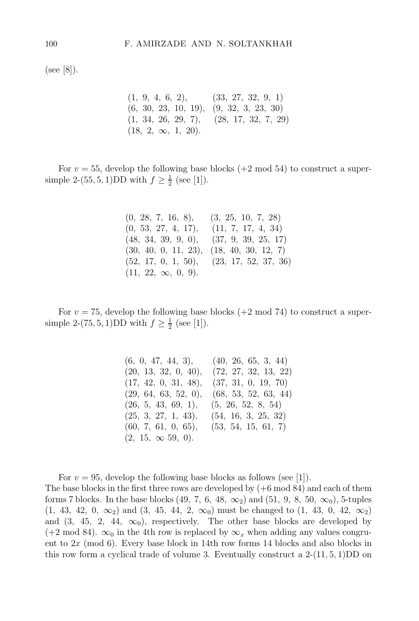(see [8]).

 $(1, 9, 4, 6, 2),$   $(33, 27, 32, 9, 1)$ <br> $(6, 30, 23, 10, 19), (9, 32, 3, 23, 30)$  $(6, 30, 23, 10, 19), (9, 32, 3, 23, 30)$ <br> $(1, 34, 26, 29, 7), (28, 17, 32, 7, 29)$  $(1, 34, 26, 29, 7),$  $(18, 2, \infty, 1, 20).$ 

For  $v = 55$ , develop the following base blocks  $(+2 \text{ mod } 54)$  to construct a supersimple 2-(55, 5, 1)DD with  $f \ge \frac{1}{2}$  (see [1]).

| (0, 28, 7, 16, 8),        | (3, 25, 10, 7, 28)   |
|---------------------------|----------------------|
| (0, 53, 27, 4, 17),       | (11, 7, 17, 4, 34)   |
| (48, 34, 39, 9, 0),       | (37, 9, 39, 25, 17)  |
| (30, 40, 0, 11, 23),      | (18, 40, 30, 12, 7)  |
| (52, 17, 0, 1, 50),       | (23, 17, 52, 37, 36) |
| $(11, 22, \infty, 0, 9).$ |                      |
|                           |                      |

For  $v = 75$ , develop the following base blocks  $(+2 \text{ mod } 74)$  to construct a supersimple 2-(75, 5, 1)DD with  $f \ge \frac{1}{2}$  (see [1]).

| (6, 0, 47, 44, 3),       | (40, 26, 65, 3, 44)  |
|--------------------------|----------------------|
| (20, 13, 32, 0, 40),     | (72, 27, 32, 13, 22) |
| (17, 42, 0, 31, 48),     | (37, 31, 0, 19, 70)  |
| (29, 64, 63, 52, 0),     | (68, 53, 52, 63, 44) |
| (26, 5, 43, 69, 1),      | (5, 26, 52, 8, 54)   |
| (25, 3, 27, 1, 43),      | (54, 16, 3, 25, 32)  |
| (60, 7, 61, 0, 65),      | (53, 54, 15, 61, 7)  |
| $(2, 15, \infty 59, 0).$ |                      |
|                          |                      |

For  $v = 95$ , develop the following base blocks as follows (see [1]). The base blocks in the first three rows are developed by  $(+6 \text{ mod } 84)$  and each of them forms 7 blocks. In the base blocks (49, 7, 6, 48,  $\infty_2$ ) and (51, 9, 8, 50,  $\infty_0$ ), 5-tuples  $(1, 43, 42, 0, \infty_2)$  and  $(3, 45, 44, 2, \infty_0)$  must be changed to  $(1, 43, 0, 42, \infty_2)$ and  $(3, 45, 2, 44, \infty_0)$ , respectively. The other base blocks are developed by  $(+2 \text{ mod } 84)$ .  $\infty_0$  in the 4th row is replaced by  $\infty_x$  when adding any values congruent to 2x (mod 6). Every base block in 14th row forms 14 blocks and also blocks in this row form a cyclical trade of volume 3. Eventually construct a  $2-(11, 5, 1)DD$  on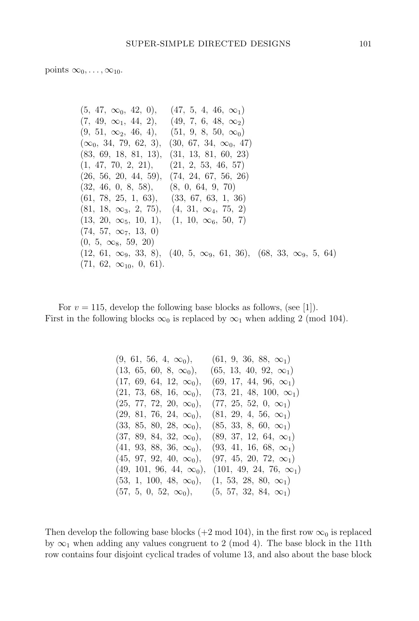```
(5, 47, \infty_0, 42, 0), (47, 5, 4, 46, \infty_1)<br>
(7, 49, \infty_1, 44, 2), (49, 7, 6, 48, \infty_2)(7, 49, \infty_1, 44, 2), (49, 7, 6, 48, \infty_2)<br>(9, 51, \infty_2, 46, 4), (51, 9, 8, 50, \infty_0)(9, 51, \infty_2, 46, 4),<br>(\infty_0, 34, 79, 62, 3),(30, 67, 34, \infty_0, 47)<br>(31, 13, 81, 60, 23)(83, 69, 18, 81, 13),<br>(1, 47, 70, 2, 21),(21, 2, 53, 46, 57)<br>(74, 24, 67, 56, 26)(26, 56, 20, 44, 59), (74, 24, 67, 56,<br>(32, 46, 0, 8, 58), (8, 0, 64, 9, 70)(32, 46, 0, 8, 58), (8, 0, 64, 9, 70)<br>
(61, 78, 25, 1, 63), (33, 67, 63, 1, 36)(61, 78, 25, 1, 63), (33, 67, 63, 1, 36)<br>(81, 18, \infty_3, 2, 75), (4, 31, \infty_4, 75, 2)(81, 18, \infty_3, 2, 75), (4, 31, \infty_4, 75, 2)<br>(13, 20, \infty_5, 10, 1), (1, 10, \infty_6, 50, 7)
(13, 20, \infty_5, 10, 1),(74, 57, \infty_7, 13, 0)(0, 5, \infty_8, 59, 20)(12, 61, \infty_9, 33, 8), (40, 5, \infty_9, 61, 36), (68, 33, \infty_9, 5, 64)(71, 62, \infty_{10}, 0, 61).
```
For  $v = 115$ , develop the following base blocks as follows, (see [1]). First in the following blocks  $\infty_0$  is replaced by  $\infty_1$  when adding 2 (mod 104).

| $(9, 61, 56, 4, \infty_0),$    | $(61, 9, 36, 88, \infty_1)$   |
|--------------------------------|-------------------------------|
| $(13, 65, 60, 8, \infty_0),$   | $(65, 13, 40, 92, \infty_1)$  |
| $(17, 69, 64, 12, \infty_0),$  | $(69, 17, 44, 96, \infty_1)$  |
| $(21, 73, 68, 16, \infty_0),$  | $(73, 21, 48, 100, \infty_1)$ |
| $(25, 77, 72, 20, \infty_0),$  | $(77, 25, 52, 0, \infty_1)$   |
| $(29, 81, 76, 24, \infty_0),$  | $(81, 29, 4, 56, \infty_1)$   |
| $(33, 85, 80, 28, \infty_0),$  | $(85, 33, 8, 60, \infty_1)$   |
| $(37, 89, 84, 32, \infty_0),$  | $(89, 37, 12, 64, \infty_1)$  |
| $(41, 93, 88, 36, \infty_0),$  | $(93, 41, 16, 68, \infty_1)$  |
| $(45, 97, 92, 40, \infty_0),$  | $(97, 45, 20, 72, \infty_1)$  |
| $(49, 101, 96, 44, \infty_0),$ | $(101, 49, 24, 76, \infty_1)$ |
| $(53, 1, 100, 48, \infty_0),$  | $(1, 53, 28, 80, \infty_1)$   |
| $(57, 5, 0, 52, \infty_0),$    | $(5, 57, 32, 84, \infty_1)$   |
|                                |                               |

Then develop the following base blocks (+2 mod 104), in the first row  $\infty_0$  is replaced by  $\infty_1$  when adding any values congruent to 2 (mod 4). The base block in the 11th row contains four disjoint cyclical trades of volume 13, and also about the base block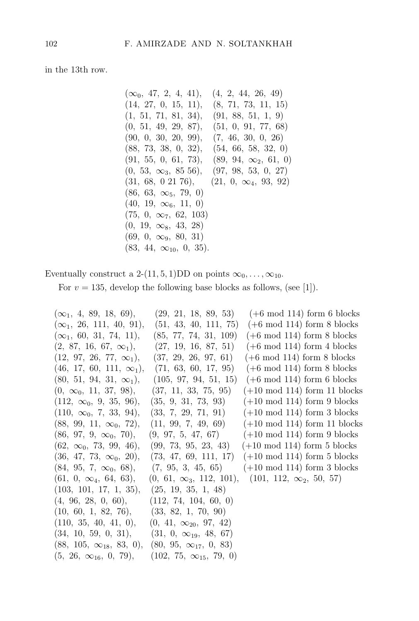in the 13th row.

 $(\infty_0, 47, 2, 4, 41), (4, 2, 44, 26, 49)$ <br>(14, 27, 0, 15, 11), (8, 71, 73, 11, 15)  $(14, 27, 0, 15, 11), (8, 71, 73, 11, 15)$ <br> $(1, 51, 71, 81, 34), (91, 88, 51, 1, 9)$  $(1, 51, 71, 81, 34), (91, 88, 51, 1, 9)$ <br> $(0, 51, 49, 29, 87), (51, 0, 91, 77, 68)$  $(0, 51, 49, 29, 87), (51, 0, 91, 77, 68)$ <br>  $(90, 0, 30, 20, 99), (7, 46, 30, 0, 26)$  $(90, 0, 30, 20, 99),$ <br> $(88, 73, 38, 0, 32),$  $(88, 73, 38, 0, 32), (54, 66, 58, 32, 0)$ <br> $(91, 55, 0, 61, 73), (89, 94, \infty_2, 61, 0)$  $(89, 94, \infty_2, 61, 0)$ <br>(97, 98, 53, 0, 27)  $(0, 53, \infty_3, 85, 56),$ <br>(31, 68, 0, 21, 76),  $(21, 0, \infty_4, 93, 92)$  $(86, 63, \infty_5, 79, 0)$  $(40, 19, \infty_6, 11, 0)$  $(75, 0, \infty_7, 62, 103)$  $(0, 19, \infty_8, 43, 28)$  $(69, 0, \infty<sub>9</sub>, 80, 31)$  $(83, 44, \infty_{10}, 0, 35).$ 

Eventually construct a 2-(11, 5, 1)DD on points  $\infty_0, \ldots, \infty_{10}$ .

For  $v = 135$ , develop the following base blocks as follows, (see [1]).

| $(\infty_1, 4, 89, 18, 69)$ ,    | (29, 21, 18, 89, 53)            | $(+6 \mod 114)$ form 6 blocks                               |
|----------------------------------|---------------------------------|-------------------------------------------------------------|
| $(\infty_1, 26, 111, 40, 91)$ ,  | (51, 43, 40, 111, 75)           | $(+6 \mod 114)$ form 8 blocks                               |
| $(\infty_1, 60, 31, 74, 11),$    | (85, 77, 74, 31, 109)           | $(+6 \mod 114)$ form 8 blocks                               |
| $(2, 87, 16, 67, \infty_1),$     | (27, 19, 16, 87, 51)            | $(+6 \mod 114)$ form 4 blocks                               |
| $(12, 97, 26, 77, \infty_1),$    | (37, 29, 26, 97, 61)            | $(+6 \mod 114)$ form 8 blocks                               |
| $(46, 17, 60, 111, \infty_1),$   | (71, 63, 60, 17, 95)            | $(+6 \mod 114)$ form 8 blocks                               |
| $(80, 51, 94, 31, \infty_1),$    | (105, 97, 94, 51, 15)           | $(+6 \mod 114)$ form 6 blocks                               |
| $(0, \infty_0, 11, 37, 98),$     | (37, 11, 33, 75, 95)            | $(+10 \mod 114)$ form 11 blocks                             |
| $(112, \infty_0, 9, 35, 96),$    | (35, 9, 31, 73, 93)             | $(+10 \mod 114)$ form 9 blocks                              |
| $(110, \infty_0, 7, 33, 94),$    | (33, 7, 29, 71, 91)             | $(+10 \mod 114)$ form 3 blocks                              |
| $(88, 99, 11, \infty_0, 72),$    | (11, 99, 7, 49, 69)             | $(+10 \mod 114)$ form 11 blocks                             |
| $(86, 97, 9, \infty_0, 70),$     | (9, 97, 5, 47, 67)              | $(+10 \mod 114)$ form 9 blocks                              |
| $(62, \infty_0, 73, 99, 46),$    | (99, 73, 95, 23, 43)            | $(+10 \mod 114)$ form 5 blocks                              |
| $(36, 47, 73, \infty_0, 20),$    | (73, 47, 69, 111, 17)           | $(+10 \mod 114)$ form 5 blocks                              |
| $(84, 95, 7, \infty_0, 68),$     | (7, 95, 3, 45, 65)              | $(+10 \mod 114)$ form 3 blocks                              |
| $(61, 0, \infty_4, 64, 63),$     |                                 | $(0, 61, \infty_3, 112, 101), (101, 112, \infty_2, 50, 57)$ |
| (103, 101, 17, 1, 35),           | (25, 19, 35, 1, 48)             |                                                             |
| (4, 96, 28, 0, 60),              | (112, 74, 104, 60, 0)           |                                                             |
| (10, 60, 1, 82, 76),             | (33, 82, 1, 70, 90)             |                                                             |
| (110, 35, 40, 41, 0),            | $(0, 41, \infty_{20}, 97, 42)$  |                                                             |
| (34, 10, 59, 0, 31),             | $(31, 0, \infty_{19}, 48, 67)$  |                                                             |
| $(88, 105, \infty_{18}, 83, 0),$ | $(80, 95, \infty_{17}, 0, 83)$  |                                                             |
| $(5, 26, \infty_{16}, 0, 79),$   | $(102, 75, \infty_{15}, 79, 0)$ |                                                             |
|                                  |                                 |                                                             |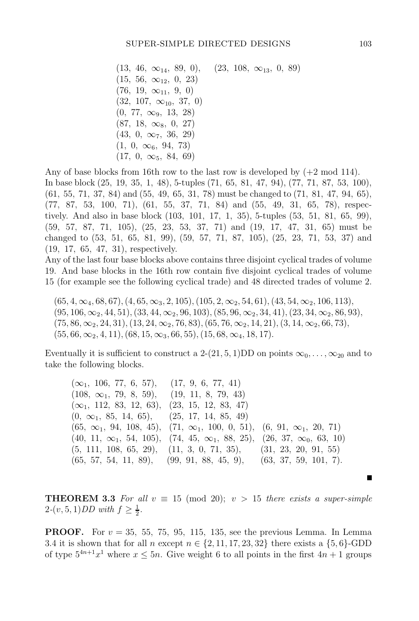$(13, 46, \infty_{14}, 89, 0), (23, 108, \infty_{13}, 0, 89)$  $(15, 56, \infty_{12}, 0, 23)$  $(76, 19, \infty_{11}, 9, 0)$  $(32, 107, \infty_{10}, 37, 0)$  $(0, 77, \infty<sub>9</sub>, 13, 28)$  $(87, 18, \infty_8, 0, 27)$  $(43, 0, \infty_7, 36, 29)$  $(1, 0, \infty_6, 94, 73)$  $(17, 0, \infty_5, 84, 69)$ 

Any of base blocks from 16th row to the last row is developed by  $(+2 \mod 114)$ . In base block (25, <sup>19</sup>, <sup>35</sup>, <sup>1</sup>, 48), 5-tuples (71, <sup>65</sup>, <sup>81</sup>, <sup>47</sup>, 94), (77, <sup>71</sup>, <sup>87</sup>, <sup>53</sup>, 100), (61, <sup>55</sup>, <sup>71</sup>, <sup>37</sup>, 84) and (55, <sup>49</sup>, <sup>65</sup>, <sup>31</sup>, 78) must be changed to (71, <sup>81</sup>, <sup>47</sup>, <sup>94</sup>, 65), (77, <sup>87</sup>, <sup>53</sup>, <sup>100</sup>, 71), (61, <sup>55</sup>, <sup>37</sup>, <sup>71</sup>, 84) and (55, <sup>49</sup>, <sup>31</sup>, <sup>65</sup>, 78), respectively. And also in base block (103, <sup>101</sup>, <sup>17</sup>, <sup>1</sup>, 35), 5-tuples (53, <sup>51</sup>, <sup>81</sup>, <sup>65</sup>, 99), (59, <sup>57</sup>, <sup>87</sup>, <sup>71</sup>, 105), (25, <sup>23</sup>, <sup>53</sup>, <sup>37</sup>, 71) and (19, <sup>17</sup>, <sup>47</sup>, <sup>31</sup>, 65) must be changed to (53, <sup>51</sup>, <sup>65</sup>, <sup>81</sup>, 99), (59, <sup>57</sup>, <sup>71</sup>, <sup>87</sup>, 105), (25, <sup>23</sup>, <sup>71</sup>, <sup>53</sup>, 37) and (19, <sup>17</sup>, <sup>65</sup>, <sup>47</sup>, 31), respectively.

Any of the last four base blocks above contains three disjoint cyclical trades of volume 19. And base blocks in the 16th row contain five disjoint cyclical trades of volume 15 (for example see the following cyclical trade) and 48 directed trades of volume 2.

 $(65, 4, \infty_4, 68, 67), (4, 65, \infty_3, 2, 105), (105, 2, \infty_2, 54, 61), (43, 54, \infty_2, 106, 113),$  $(95, 106, \infty_2, 44, 51), (33, 44, \infty_2, 96, 103), (85, 96, \infty_2, 34, 41), (23, 34, \infty_2, 86, 93),$  $(75, 86, \infty_2, 24, 31), (13, 24, \infty_2, 76, 83), (65, 76, \infty_2, 14, 21), (3, 14, \infty_2, 66, 73),$  $(55, 66, \infty_2, 4, 11), (68, 15, \infty_3, 66, 55), (15, 68, \infty_4, 18, 17).$ 

Eventually it is sufficient to construct a 2-(21, 5, 1)DD on points  $\infty_0, \ldots, \infty_{20}$  and to take the following blocks.

 $(\infty_1, 106, 77, 6, 57),$   $(17, 9, 6, 77, 41)$ <br> $(108, \infty_1, 79, 8, 59),$   $(19, 11, 8, 79, 43)$  $(108, \infty_1, 79, 8, 59), (19, 11, 8, 79, 43)$ <br> $(\infty_1, 112, 83, 12, 63), (23, 15, 12, 83, 47)$  $(\infty_1, 112, 83, 12, 63), (23, 15, 12, 83, 47)$ <br>  $(0, \infty_1, 85, 14, 65), (25, 17, 14, 85, 49)$  $(0, \infty_1, 85, 14, 65),$   $(25, 17, 14, 85, 49)$ <br> $(65, \infty_1, 94, 108, 45),$   $(71, \infty_1, 100, 0, 51),$  $(65, \infty_1, 94, 108, 45), (71, \infty_1, 100, 0, 51), (6, 91, \infty_1, 20, 71)$ <br> $(40, 11, \infty, 54, 105), (74, 45, \infty, 88, 25), (26, 37, \infty, 63, 10)$  $(40, 11, \infty_1, 54, 105), (74, 45, \infty_1, 88, 25), (26, 37, \infty_0, 63, 10)$ <br> $(5, 111, 108, 65, 29)$   $(11, 3, 0, 71, 35)$   $(31, 23, 20, 91, 55)$ (5, 111, 108, 65, 29), (11, 3, 0, 71, 35), (31, 23, 20, 91, 55)<br>(65, 57, 54, 11, 89), (99, 91, 88, 45, 9), (63, 37, 59, 101, 7).  $(65, 57, 54, 11, 89),$ 

**THEOREM 3.3** For all  $v \equiv 15 \pmod{20}$ ;  $v > 15$  there exists a super-simple  $2-(v, 5, 1)DD$  with  $f \ge \frac{1}{2}$ .

**PROOF.** For  $v = 35, 55, 75, 95, 115, 135$ , see the previous Lemma. In Lemma 3.4 it is shown that for all n except  $n \in \{2, 11, 17, 23, 32\}$  there exists a  $\{5, 6\}$ -GDD of type  $5^{4n+1}x^1$  where  $x \le 5n$ . Give weight 6 to all points in the first  $4n+1$  groups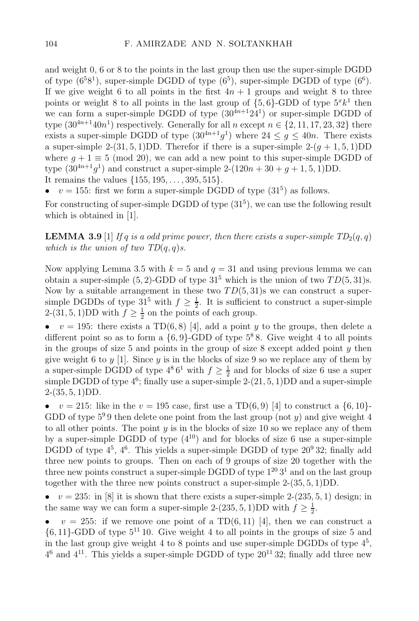and weight 0, 6 or 8 to the points in the last group then use the super-simple DGDD of type  $(6^58^1)$ , super-simple DGDD of type  $(6^5)$ , super-simple DGDD of type  $(6^6)$ . If we give weight 6 to all points in the first  $4n + 1$  groups and weight 8 to three points or weight 8 to all points in the last group of  $\{5, 6\}$ -GDD of type  $5^x k^1$  then we can form a super-simple DGDD of type  $(30^{4n+1}24^1)$  or super-simple DGDD of type  $(30^{4n+1}40n^1)$  respectively. Generally for all n except  $n \in \{2, 11, 17, 23, 32\}$  there exists a super-simple DGDD of type  $(30^{4n+1}g^1)$  where  $24 \leq g \leq 40n$ . There exists a super-simple 2-(31, 5, 1)DD. Therefor if there is a super-simple  $2-(g+1, 5, 1)DD$ where  $q + 1 \equiv 5 \pmod{20}$ , we can add a new point to this super-simple DGDD of type  $(30^{4n+1}g^1)$  and construct a super-simple  $2-(120n+30+g+1,5,1)$ DD. It remains the values  $\{155, 195, \ldots, 395, 515\}.$ 

•  $v = 155$ : first we form a super-simple DGDD of type  $(31^5)$  as follows.

For constructing of super-simple DGDD of type  $(31^5)$ , we can use the following result which is obtained in [1].

**LEMMA 3.9** [1] *If* q *is a odd prime power, then there exists a super-simple*  $TD_2(q, q)$ *which is the union of two TD* $(q, q)$ *s.* 

Now applying Lemma 3.5 with  $k = 5$  and  $q = 31$  and using previous lemma we can obtain a super-simple (5, 2)-GDD of type  $31^5$  which is the union of two  $TD(5, 31)$ s. Now by a suitable arrangement in these two  $TD(5, 31)$ s we can construct a supersimple DGDDs of type  $31^5$  with  $f \ge \frac{1}{2}$ . It is sufficient to construct a super-simple  $2-(31-5)$  DD with  $f > \frac{1}{2}$  on the points of each group. 2-(31, 5, 1)DD with  $f \geq \frac{1}{2}$  on the points of each group.

•  $v = 195$ : there exists a TD(6,8) [4], add a point y to the groups, then delete a different point so as to form a  ${6,9}$ -GDD of type  $5^8$ 8. Give weight 4 to all points in the groups of size 5 and points in the group of size 8 except added point  $y$  then give weight 6 to  $y$  [1]. Since  $y$  is in the blocks of size 9 so we replace any of them by give weight 6 to y [1]. Since y is in the blocks of size 9 so we replace any of them by<br>a super-simple DGDD of type  $A^8 G^1$  with  $f > \frac{1}{4}$  and for blocks of size 6 use a super a super-simple DGDD of type  $4^8 6^1$  with  $f \ge \frac{1}{2}$  and for blocks of size 6 use a super-<br>simple DGDD of type  $4^6$ ; finally use a super-simple 2.(21.5.1)DD and a super-simple simple DGDD of type  $4^6$ ; finally use a super-simple  $2-(21, 5, 1)$ DD and a super-simple  $2-(35, 5, 1)$ DD.

•  $v = 215$ : like in the  $v = 195$  case, first use a TD(6, 9) [4] to construct a  $\{6, 10\}$ -GDD of type  $5^9$  9 then delete one point from the last group (not y) and give weight 4 to all other points. The point  $y$  is in the blocks of size 10 so we replace any of them by a super-simple DGDD of type  $(4^{10})$  and for blocks of size 6 use a super-simple DGDD of type  $4^5$ ,  $4^6$ . This yields a super-simple DGDD of type  $20^9$  32; finally add three new points to groups. Then on each of 9 groups of size 20 together with the three new points construct a super-simple DGDD of type  $1^{20}$   $3^1$  and on the last group together with the three new points construct a super-simple 2-(35, <sup>5</sup>, 1)DD.

•  $v = 235$ : in [8] it is shown that there exists a super-simple 2-(235, 5, 1) design; in the same way we can form a super-simple 2-(235, 5, 1)DD with  $f \ge \frac{1}{2}$ .

 $v = 255$ : if we remove one point of a TD(6,11) [4], then we can construct a  $\{6, 11\}$ -GDD of type  $5^{11}$  10. Give weight 4 to all points in the groups of size 5 and in the last group give weight 4 to 8 points and use super-simple DGDDs of type  $4^5$ ,  $4^6$  and  $4^{11}$ . This yields a super-simple DGDD of type  $20^{11}$  32; finally add three new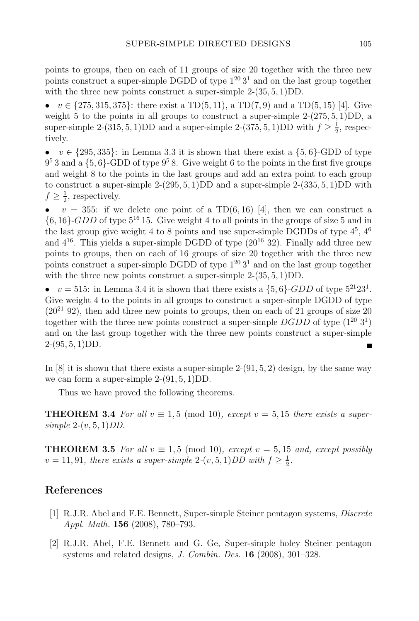points to groups, then on each of 11 groups of size 20 together with the three new points construct a super-simple DGDD of type  $1^{20}$  3<sup>1</sup> and on the last group together with the three new points construct a super-simple 2-(35, 5, 1)DD.

•  $v \in \{275, 315, 375\}$ : there exist a TD(5, 11), a TD(7, 9) and a TD(5, 15) [4]. Give weight 5 to the points in all groups to construct a super-simple 2-(275, <sup>5</sup>, 1)DD, a super-simple 2-(315, 5, 1)DD and a super-simple 2-(375, 5, 1)DD with  $f \ge \frac{1}{2}$ , respectively tively.

•  $v \in \{295, 335\}$ : in Lemma 3.3 it is shown that there exist a  $\{5, 6\}$ -GDD of type  $9<sup>5</sup>$  3 and a  $\{5, 6\}$ -GDD of type  $9<sup>5</sup>$  8. Give weight 6 to the points in the first five groups and weight 8 to the points in the last groups and add an extra point to each group to construct a super-simple 2-(295, <sup>5</sup>, 1)DD and a super-simple 2-(335, <sup>5</sup>, 1)DD with  $f \geq \frac{1}{2}$ , respectively.

•  $v = 355$ : if we delete one point of a TD(6,16) [4], then we can construct a  $\{6, 16\}$ -GDD of type  $5^{16}$  15. Give weight 4 to all points in the groups of size 5 and in the last group give weight 4 to 8 points and use super-simple DGDDs of type  $4^5$ ,  $4^6$ and  $4^{16}$ . This yields a super-simple DGDD of type  $(20^{16} \text{ } 32)$ . Finally add three new points to groups, then on each of 16 groups of size 20 together with the three new points construct a super-simple DGDD of type  $1^{20}3^1$  and on the last group together with the three new points construct a super-simple 2-(35, 5, 1)DD.

•  $v = 515$ : in Lemma 3.4 it is shown that there exists a  $\{5, 6\}$ -GDD of type  $5^{21}23^1$ . Give weight 4 to the points in all groups to construct a super-simple DGDD of type  $(20^{21} 92)$ , then add three new points to groups, then on each of 21 groups of size 20 together with the three new points construct a super-simple  $DGDD$  of type  $(1^{20} 3^1)$ and on the last group together with the three new points construct a super-simple  $2-(95, 5, 1)$ DD.

In  $[8]$  it is shown that there exists a super-simple 2- $(91, 5, 2)$  design, by the same way we can form a super-simple  $2-(91, 5, 1)$ DD.

Thus we have proved the following theorems.

**THEOREM 3.4** For all  $v \equiv 1.5 \pmod{10}$ , except  $v = 5.15$  there exists a super*simple* <sup>2</sup>*-*(v, <sup>5</sup>, 1)*DD.*

**THEOREM 3.5** *For all*  $v \equiv 1.5 \pmod{10}$ *, except*  $v = 5.15$  *and, except possibly*  $v = 11, 91$ , there exists a super-simple 2- $(v, 5, 1)$ *DD with*  $f \ge \frac{1}{2}$ .

#### **References**

- [1] R.J.R. Abel and F.E. Bennett, Super-simple Steiner pentagon systems, *Discrete Appl. Math.* **156** (2008), 780–793.
- [2] R.J.R. Abel, F.E. Bennett and G. Ge, Super-simple holey Steiner pentagon systems and related designs, *J. Combin. Des.* **16** (2008), 301–328.